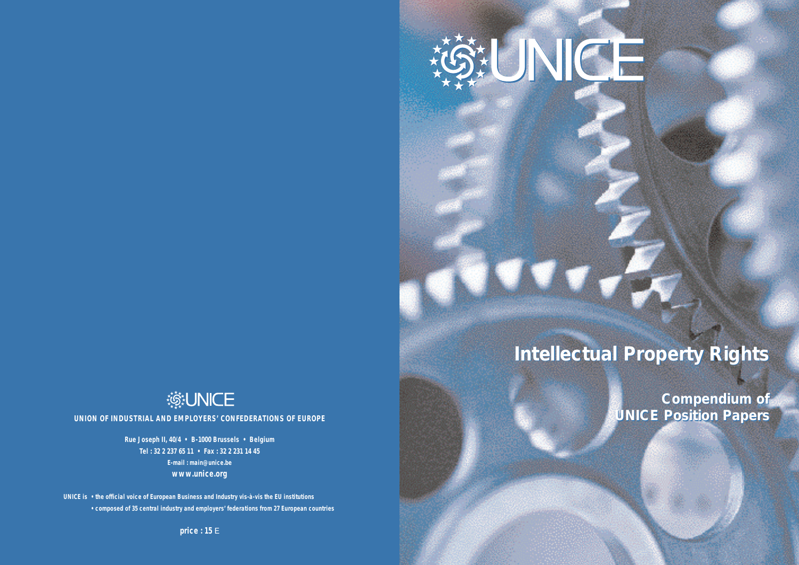# **類NICE**

**UNION OF INDUSTRIAL AND EMPLOYERS' CONFEDERATIONS OF EUROPE**

**Rue Joseph II, 40/4 • B-1000 Brussels • Belgium Tel : 32 2 237 65 11 • Fax : 32 2 231 14 45 E-mail : main@unice.be www.unice.org**

**UNICE is • the official voice of European Business and Industry vis-à-vis the EU institutions • composed of 35 central industry and employers' federations from 27 European countries**

**price : 15** E

SUNCH

*Intellectual Property Rights Intellectual Property Rights*

*Compendium of Compendium of UNICE Position Papers UNICE Position Papers*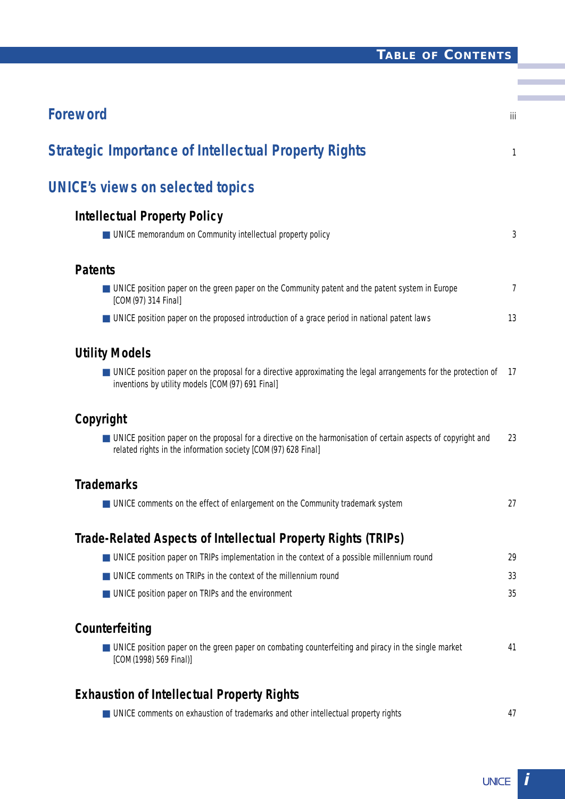## **TABLE OF CONTENTS**

m.

| <b>Foreword</b>                                                                                                                                                                  | iii            |
|----------------------------------------------------------------------------------------------------------------------------------------------------------------------------------|----------------|
| <b>Strategic Importance of Intellectual Property Rights</b>                                                                                                                      | 1              |
| <b>UNICE's views on selected topics</b>                                                                                                                                          |                |
| <b>Intellectual Property Policy</b>                                                                                                                                              |                |
| UNICE memorandum on Community intellectual property policy                                                                                                                       | 3              |
| <b>Patents</b>                                                                                                                                                                   |                |
| ■ UNICE position paper on the green paper on the Community patent and the patent system in Europe<br>[COM(97) 314 Final]                                                         | $\overline{7}$ |
| ■ UNICE position paper on the proposed introduction of a grace period in national patent laws                                                                                    | 13             |
| <b>Utility Models</b>                                                                                                                                                            |                |
| ■ UNICE position paper on the proposal for a directive approximating the legal arrangements for the protection of<br>inventions by utility models [COM(97) 691 Final]            | -17            |
| Copyright                                                                                                                                                                        |                |
| ■ UNICE position paper on the proposal for a directive on the harmonisation of certain aspects of copyright and<br>related rights in the information society [COM(97) 628 Final] | 23             |
| <b>Trademarks</b>                                                                                                                                                                |                |
| ■ UNICE comments on the effect of enlargement on the Community trademark system                                                                                                  | 27             |
| Trade-Related Aspects of Intellectual Property Rights (TRIPs)                                                                                                                    |                |
| ■ UNICE position paper on TRIPs implementation in the context of a possible millennium round                                                                                     | 29             |
| UNICE comments on TRIPs in the context of the millennium round                                                                                                                   | 33             |
| UNICE position paper on TRIPs and the environment                                                                                                                                | 35             |
| Counterfeiting                                                                                                                                                                   |                |
| UNICE position paper on the green paper on combating counterfeiting and piracy in the single market<br>[COM(1998) 569 Final)]                                                    | 41             |
| <b>Exhaustion of Intellectual Property Rights</b>                                                                                                                                |                |
| ■ UNICE comments on exhaustion of trademarks and other intellectual property rights                                                                                              | 47             |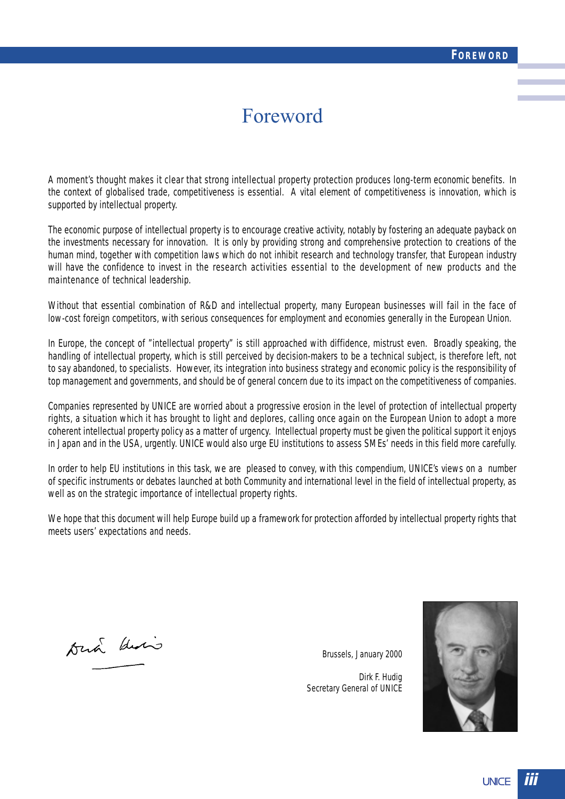## Foreword

A moment's thought makes it clear that strong intellectual property protection produces long-term economic benefits. In the context of globalised trade, competitiveness is essential. A vital element of competitiveness is innovation, which is supported by intellectual property.

The economic purpose of intellectual property is to encourage creative activity, notably by fostering an adequate payback on the investments necessary for innovation. It is only by providing strong and comprehensive protection to creations of the human mind, together with competition laws which do not inhibit research and technology transfer, that European industry will have the confidence to invest in the research activities essential to the development of new products and the maintenance of technical leadership.

Without that essential combination of R&D and intellectual property, many European businesses will fail in the face of low-cost foreign competitors, with serious consequences for employment and economies generally in the European Union.

In Europe, the concept of "intellectual property" is still approached with diffidence, mistrust even. Broadly speaking, the handling of intellectual property, which is still perceived by decision-makers to be a technical subject, is therefore left, not to say abandoned, to specialists. However, its integration into business strategy and economic policy is the responsibility of top management and governments, and should be of general concern due to its impact on the competitiveness of companies.

Companies represented by UNICE are worried about a progressive erosion in the level of protection of intellectual property rights, a situation which it has brought to light and deplores, calling once again on the European Union to adopt a more coherent intellectual property policy as a matter of urgency. Intellectual property must be given the political support it enjoys in Japan and in the USA, urgently. UNICE would also urge EU institutions to assess SMEs' needs in this field more carefully.

In order to help EU institutions in this task, we are pleased to convey, with this compendium, UNICE's views on a number of specific instruments or debates launched at both Community and international level in the field of intellectual property, as well as on the strategic importance of intellectual property rights.

We hope that this document will help Europe build up a framework for protection afforded by intellectual property rights that meets users' expectations and needs.

Duch deris

Brussels, January 2000

Dirk F. Hudig Secretary General of UNICE

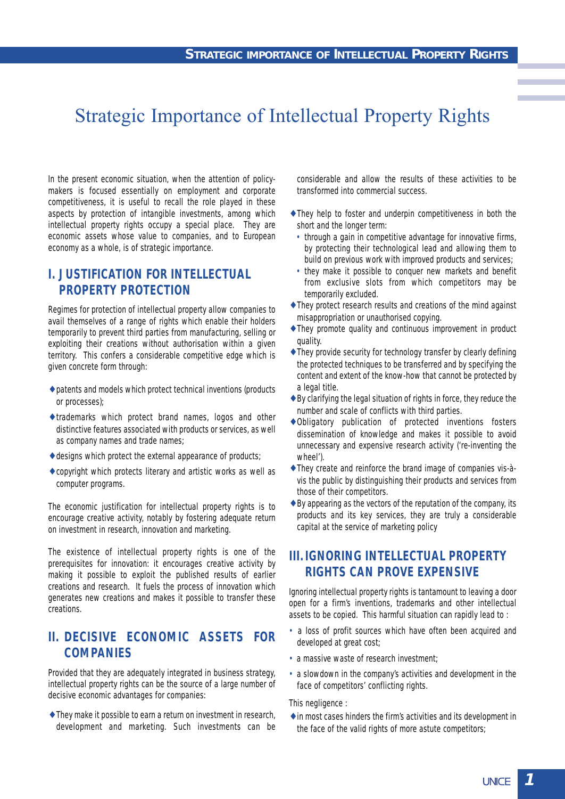## Strategic Importance of Intellectual Property Rights

In the present economic situation, when the attention of policymakers is focused essentially on employment and corporate competitiveness, it is useful to recall the role played in these aspects by protection of intangible investments, among which intellectual property rights occupy a special place. They are economic assets whose value to companies, and to European economy as a whole, is of strategic importance.

## **I. JUSTIFICATION FOR INTELLECTUAL PROPERTY PROTECTION**

Regimes for protection of intellectual property allow companies to avail themselves of a range of rights which enable their holders temporarily to prevent third parties from manufacturing, selling or exploiting their creations without authorisation within a given territory. This confers a considerable competitive edge which is given concrete form through:

- ♦ patents and models which protect technical inventions (products or processes);
- ♦ trademarks which protect brand names, logos and other distinctive features associated with products or services, as well as company names and trade names;
- $\triangle$  designs which protect the external appearance of products;
- ♦ copyright which protects literary and artistic works as well as computer programs.

The economic justification for intellectual property rights is to encourage creative activity, notably by fostering adequate return on investment in research, innovation and marketing.

The existence of intellectual property rights is one of the prerequisites for innovation: it encourages creative activity by making it possible to exploit the published results of earlier creations and research. It fuels the process of innovation which generates new creations and makes it possible to transfer these creations.

## **II. DECISIVE ECONOMIC ASSETS FOR COMPANIES**

Provided that they are adequately integrated in business strategy, intellectual property rights can be the source of a large number of decisive economic advantages for companies:

♦ They make it possible to earn a return on investment in research, development and marketing. Such investments can be considerable and allow the results of these activities to be transformed into commercial success.

- ♦ They help to foster and underpin competitiveness in both the short and the longer term:
	- through a gain in competitive advantage for innovative firms, by protecting their technological lead and allowing them to build on previous work with improved products and services;
	- they make it possible to conquer new markets and benefit from exclusive slots from which competitors may be temporarily excluded.
- ♦ They protect research results and creations of the mind against misappropriation or unauthorised copying.
- ♦ They promote quality and continuous improvement in product quality.
- ♦ They provide security for technology transfer by clearly defining the protected techniques to be transferred and by specifying the content and extent of the know-how that cannot be protected by a legal title.
- $\triangle$  By clarifying the legal situation of rights in force, they reduce the number and scale of conflicts with third parties.
- ♦ Obligatory publication of protected inventions fosters dissemination of knowledge and makes it possible to avoid unnecessary and expensive research activity ('re-inventing the wheel').
- ♦ They create and reinforce the brand image of companies vis-àvis the public by distinguishing their products and services from those of their competitors.
- $\triangle$  By appearing as the vectors of the reputation of the company, its products and its key services, they are truly a considerable capital at the service of marketing policy

## **III. IGNORING INTELLECTUAL PROPERTY RIGHTS CAN PROVE EXPENSIVE**

Ignoring intellectual property rights is tantamount to leaving a door open for a firm's inventions, trademarks and other intellectual assets to be copied. This harmful situation can rapidly lead to :

- a loss of profit sources which have often been acquired and developed at great cost;
- a massive waste of research investment;
- a slowdown in the company's activities and development in the face of competitors' conflicting rights.

This negligence :

♦ in most cases hinders the firm's activities and its development in the face of the valid rights of more astute competitors;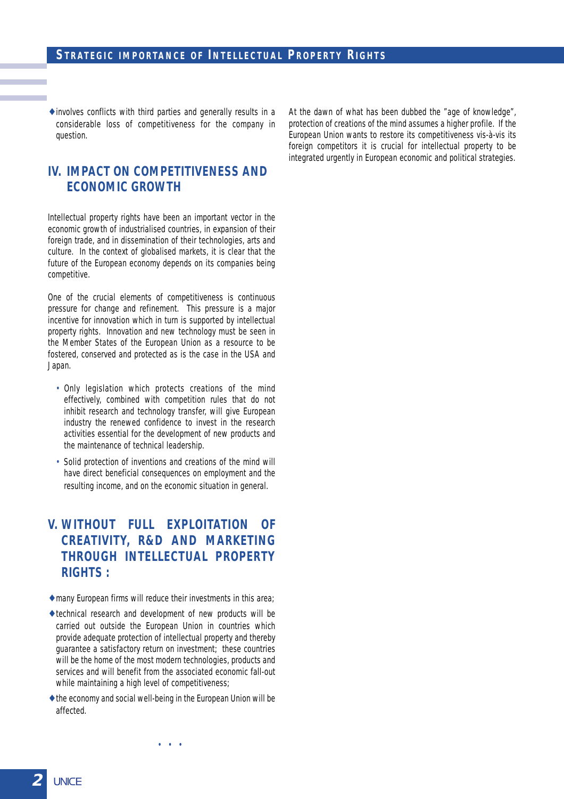$\triangle$  involves conflicts with third parties and generally results in a considerable loss of competitiveness for the company in question.

## **IV. IMPACT ON COMPETITIVENESS AND ECONOMIC GROWTH**

Intellectual property rights have been an important vector in the economic growth of industrialised countries, in expansion of their foreign trade, and in dissemination of their technologies, arts and culture. In the context of globalised markets, it is clear that the future of the European economy depends on its companies being competitive.

One of the crucial elements of competitiveness is continuous pressure for change and refinement. This pressure is a major incentive for innovation which in turn is supported by intellectual property rights. Innovation and new technology must be seen in the Member States of the European Union as a resource to be fostered, conserved and protected as is the case in the USA and Japan.

- Only legislation which protects creations of the mind effectively, combined with competition rules that do not inhibit research and technology transfer, will give European industry the renewed confidence to invest in the research activities essential for the development of new products and the maintenance of technical leadership.
- Solid protection of inventions and creations of the mind will have direct beneficial consequences on employment and the resulting income, and on the economic situation in general.

## **V. WITHOUT FULL EXPLOITATION OF CREATIVITY, R&D AND MARKETING THROUGH INTELLECTUAL PROPERTY RIGHTS :**

- $\triangle$  many European firms will reduce their investments in this area;
- ♦ technical research and development of new products will be carried out outside the European Union in countries which provide adequate protection of intellectual property and thereby guarantee a satisfactory return on investment; these countries will be the home of the most modern technologies, products and services and will benefit from the associated economic fall-out while maintaining a high level of competitiveness;
- ♦ the economy and social well-being in the European Union will be affected.

At the dawn of what has been dubbed the "age of knowledge", protection of creations of the mind assumes a higher profile. If the European Union wants to restore its competitiveness vis-à-vis its foreign competitors it is crucial for intellectual property to be integrated urgently in European economic and political strategies.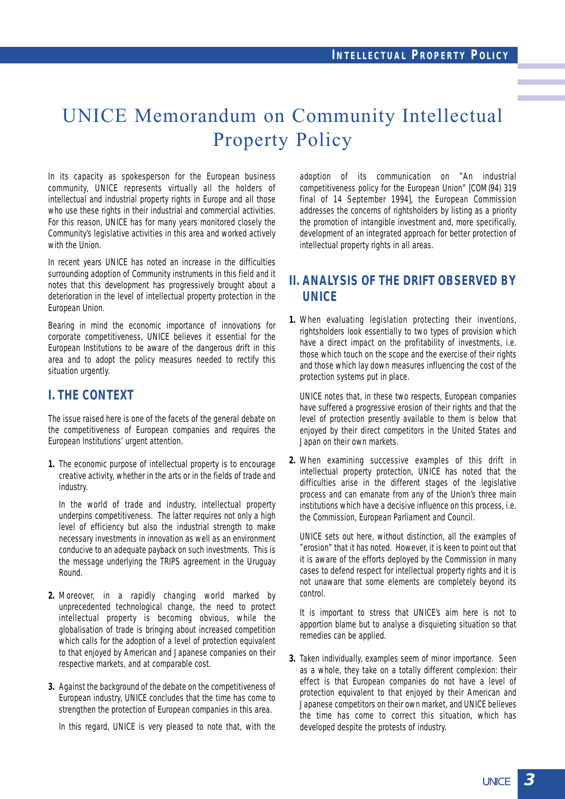## UNICE Memorandum on Community Intellectual Property Policy

In its capacity as spokesperson for the European business community, UNICE represents virtually all the holders of intellectual and industrial property rights in Europe and all those who use these rights in their industrial and commercial activities. For this reason, UNICE has for many years monitored closely the Community's legislative activities in this area and worked actively with the Union.

In recent years UNICE has noted an increase in the difficulties surrounding adoption of Community instruments in this field and it notes that this development has progressively brought about a deterioration in the level of intellectual property protection in the European Union.

Bearing in mind the economic importance of innovations for corporate competitiveness, UNICE believes it essential for the European Institutions to be aware of the dangerous drift in this area and to adopt the policy measures needed to rectify this situation urgently.

## **I. THE CONTEXT**

The issue raised here is one of the facets of the general debate on the competitiveness of European companies and requires the European Institutions' urgent attention.

**1.** The economic purpose of intellectual property is to encourage creative activity, whether in the arts or in the fields of trade and industry.

In the world of trade and industry, intellectual property underpins competitiveness. The latter requires not only a high level of efficiency but also the industrial strength to make necessary investments in innovation as well as an environment conducive to an adequate payback on such investments. This is the message underlying the TRIPS agreement in the Uruguay Round.

- **2.** Moreover, in a rapidly changing world marked by unprecedented technological change, the need to protect intellectual property is becoming obvious, while the globalisation of trade is bringing about increased competition which calls for the adoption of a level of protection equivalent to that enjoyed by American and Japanese companies on their respective markets, and at comparable cost.
- **3.** Against the background of the debate on the competitiveness of European industry, UNICE concludes that the time has come to strengthen the protection of European companies in this area.

In this regard, UNICE is very pleased to note that, with the

adoption of its communication on "An industrial competitiveness policy for the European Union" [COM(94) 319 final of 14 September 1994], the European Commission addresses the concerns of rightsholders by listing as a priority the promotion of intangible investment and, more specifically, development of an integrated approach for better protection of intellectual property rights in all areas.

## **II. ANALYSIS OF THE DRIFT OBSERVED BY UNICE**

**1.** When evaluating legislation protecting their inventions, rightsholders look essentially to two types of provision which have a direct impact on the profitability of investments, i.e. those which touch on the scope and the exercise of their rights and those which lay down measures influencing the cost of the protection systems put in place.

UNICE notes that, in these two respects, European companies have suffered a progressive erosion of their rights and that the level of protection presently available to them is below that enjoyed by their direct competitors in the United States and Japan on their own markets.

**2.** When examining successive examples of this drift in intellectual property protection, UNICE has noted that the difficulties arise in the different stages of the legislative process and can emanate from any of the Union's three main institutions which have a decisive influence on this process, i.e. the Commission, European Parliament and Council.

UNICE sets out here, without distinction, all the examples of "erosion" that it has noted. However, it is keen to point out that it is aware of the efforts deployed by the Commission in many cases to defend respect for intellectual property rights and it is not unaware that some elements are completely beyond its control.

It is important to stress that UNICE's aim here is not to apportion blame but to analyse a disquieting situation so that remedies can be applied.

**3.** Taken individually, examples seem of minor importance. Seen as a whole, they take on a totally different complexion: their effect is that European companies do not have a level of protection equivalent to that enjoyed by their American and Japanese competitors on their own market, and UNICE believes the time has come to correct this situation, which has developed despite the protests of industry.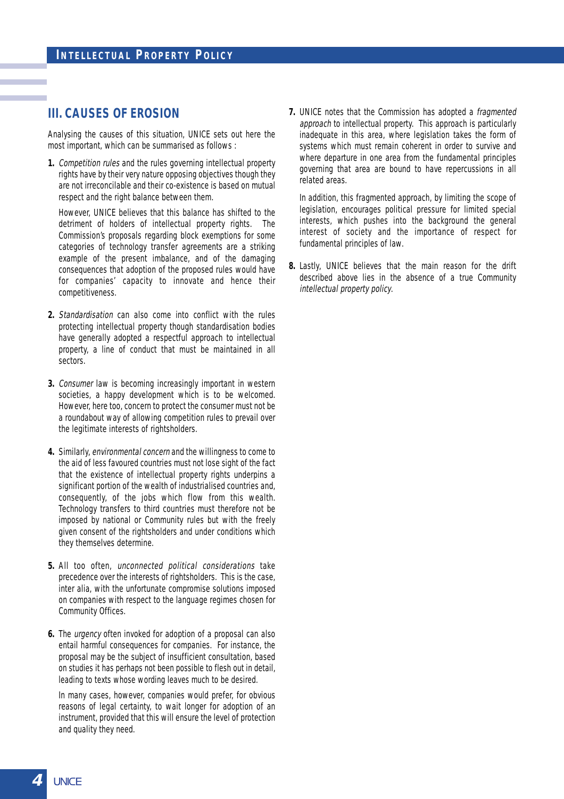## **III. CAUSES OF EROSION**

Analysing the causes of this situation, UNICE sets out here the most important, which can be summarised as follows :

**1.** Competition rules and the rules governing intellectual property rights have by their very nature opposing objectives though they are not irreconcilable and their co-existence is based on mutual respect and the right balance between them.

However, UNICE believes that this balance has shifted to the detriment of holders of intellectual property rights. The Commission's proposals regarding block exemptions for some categories of technology transfer agreements are a striking example of the present imbalance, and of the damaging consequences that adoption of the proposed rules would have for companies' capacity to innovate and hence their competitiveness.

- **2.** Standardisation can also come into conflict with the rules protecting intellectual property though standardisation bodies have generally adopted a respectful approach to intellectual property, a line of conduct that must be maintained in all sectors.
- **3.** Consumer law is becoming increasingly important in western societies, a happy development which is to be welcomed. However, here too, concern to protect the consumer must not be a roundabout way of allowing competition rules to prevail over the legitimate interests of rightsholders.
- **4.** Similarly, environmental concern and the willingness to come to the aid of less favoured countries must not lose sight of the fact that the existence of intellectual property rights underpins a significant portion of the wealth of industrialised countries and, consequently, of the jobs which flow from this wealth. Technology transfers to third countries must therefore not be imposed by national or Community rules but with the freely given consent of the rightsholders and under conditions which they themselves determine.
- **5.** All too often, unconnected political considerations take precedence over the interests of rightsholders. This is the case, inter alia, with the unfortunate compromise solutions imposed on companies with respect to the language regimes chosen for Community Offices.
- **6.** The urgency often invoked for adoption of a proposal can also entail harmful consequences for companies. For instance, the proposal may be the subject of insufficient consultation, based on studies it has perhaps not been possible to flesh out in detail, leading to texts whose wording leaves much to be desired.

In many cases, however, companies would prefer, for obvious reasons of legal certainty, to wait longer for adoption of an instrument, provided that this will ensure the level of protection and quality they need.

**7.** UNICE notes that the Commission has adopted a fragmented approach to intellectual property. This approach is particularly inadequate in this area, where legislation takes the form of systems which must remain coherent in order to survive and where departure in one area from the fundamental principles governing that area are bound to have repercussions in all related areas.

In addition, this fragmented approach, by limiting the scope of legislation, encourages political pressure for limited special interests, which pushes into the background the general interest of society and the importance of respect for fundamental principles of law.

**8.** Lastly, UNICE believes that the main reason for the drift described above lies in the absence of a true Community intellectual property policy.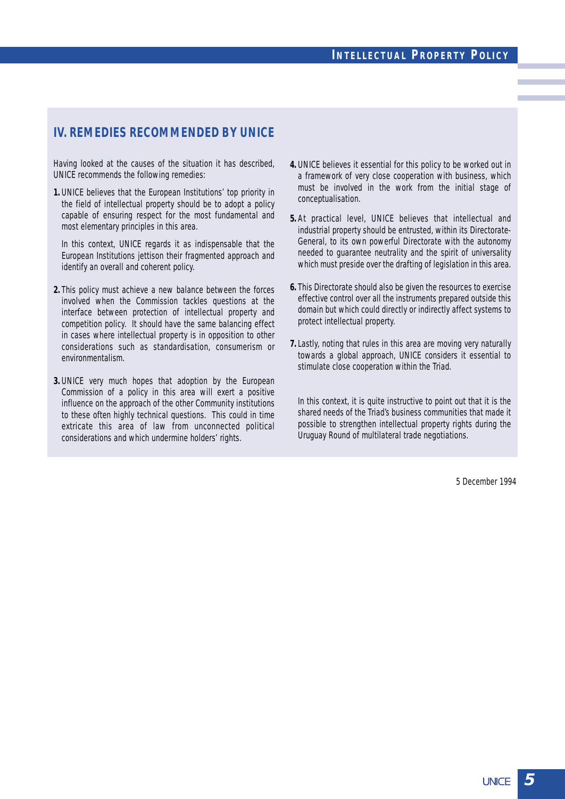## **IV. REMEDIES RECOMMENDED BY UNICE**

Having looked at the causes of the situation it has described, UNICE recommends the following remedies:

**1.** UNICE believes that the European Institutions' top priority in the field of intellectual property should be to adopt a policy capable of ensuring respect for the most fundamental and most elementary principles in this area.

In this context, UNICE regards it as indispensable that the European Institutions jettison their fragmented approach and identify an overall and coherent policy.

- **2.** This policy must achieve a new balance between the forces involved when the Commission tackles questions at the interface between protection of intellectual property and competition policy. It should have the same balancing effect in cases where intellectual property is in opposition to other considerations such as standardisation, consumerism or environmentalism.
- **3.** UNICE very much hopes that adoption by the European Commission of a policy in this area will exert a positive influence on the approach of the other Community institutions to these often highly technical questions. This could in time extricate this area of law from unconnected political considerations and which undermine holders' rights.
- **4.** UNICE believes it essential for this policy to be worked out in a framework of very close cooperation with business, which must be involved in the work from the initial stage of conceptualisation.
- **5.** At practical level, UNICE believes that intellectual and industrial property should be entrusted, within its Directorate-General, to its own powerful Directorate with the autonomy needed to guarantee neutrality and the spirit of universality which must preside over the drafting of legislation in this area.
- **6.** This Directorate should also be given the resources to exercise effective control over all the instruments prepared outside this domain but which could directly or indirectly affect systems to protect intellectual property.
- **7.**Lastly, noting that rules in this area are moving very naturally towards a global approach, UNICE considers it essential to stimulate close cooperation within the Triad.

In this context, it is quite instructive to point out that it is the shared needs of the Triad's business communities that made it possible to strengthen intellectual property rights during the Uruguay Round of multilateral trade negotiations.

5 December 1994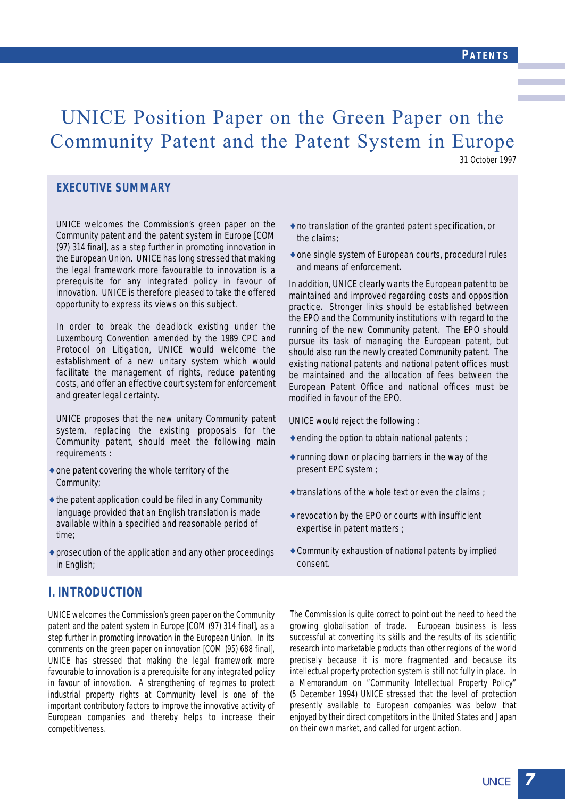## UNICE Position Paper on the Green Paper on the Community Patent and the Patent System in Europe

31 October 1997

#### **EXECUTIVE SUMMARY**

UNICE welcomes the Commission's green paper on the Community patent and the patent system in Europe [COM (97) 314 final], as a step further in promoting innovation in the European Union. UNICE has long stressed that making the legal framework more favourable to innovation is a prerequisite for any integrated policy in favour of innovation. UNICE is therefore pleased to take the offered opportunity to express its views on this subject.

In order to break the deadlock existing under the Luxembourg Convention amended by the 1989 CPC and Protocol on Litigation, UNICE would welcome the establishment of a new unitary system which would facilitate the management of rights, reduce patenting costs, and offer an effective court system for enforcement and greater legal certainty.

UNICE proposes that the new unitary Community patent system, replacing the existing proposals for the Community patent, should meet the following main requirements :

- $\triangle$  one patent covering the whole territory of the Community;
- $\triangle$  the patent application could be filed in any Community language provided that an English translation is made available within a specified and reasonable period of time;
- prosecution of the application and any other proceedings in English;
- ♦ no translation of the granted patent specification, or the claims;
- ♦ one single system of European courts, procedural rules and means of enforcement.

In addition, UNICE clearly wants the European patent to be maintained and improved regarding costs and opposition practice. Stronger links should be established between the EPO and the Community institutions with regard to the running of the new Community patent. The EPO should pursue its task of managing the European patent, but should also run the newly created Community patent. The existing national patents and national patent offices must be maintained and the allocation of fees between the European Patent Office and national offices must be modified in favour of the EPO.

UNICE would reject the following :

- $\triangle$  ending the option to obtain national patents ;
- ♦ running down or placing barriers in the way of the present EPC system ;
- $\triangle$  translations of the whole text or even the claims ;
- ♦ revocation by the EPO or courts with insufficient expertise in patent matters ;
- $\triangle$  Community exhaustion of national patents by implied consent.

## **I. INTRODUCTION**

UNICE welcomes the Commission's green paper on the Community patent and the patent system in Europe [COM (97) 314 final], as a step further in promoting innovation in the European Union. In its comments on the green paper on innovation [COM (95) 688 final], UNICE has stressed that making the legal framework more favourable to innovation is a prerequisite for any integrated policy in favour of innovation. A strengthening of regimes to protect industrial property rights at Community level is one of the important contributory factors to improve the innovative activity of European companies and thereby helps to increase their competitiveness.

The Commission is quite correct to point out the need to heed the growing globalisation of trade. European business is less successful at converting its skills and the results of its scientific research into marketable products than other regions of the world precisely because it is more fragmented and because its intellectual property protection system is still not fully in place. In a Memorandum on "Community Intellectual Property Policy" (5 December 1994) UNICE stressed that the level of protection presently available to European companies was below that enjoyed by their direct competitors in the United States and Japan on their own market, and called for urgent action.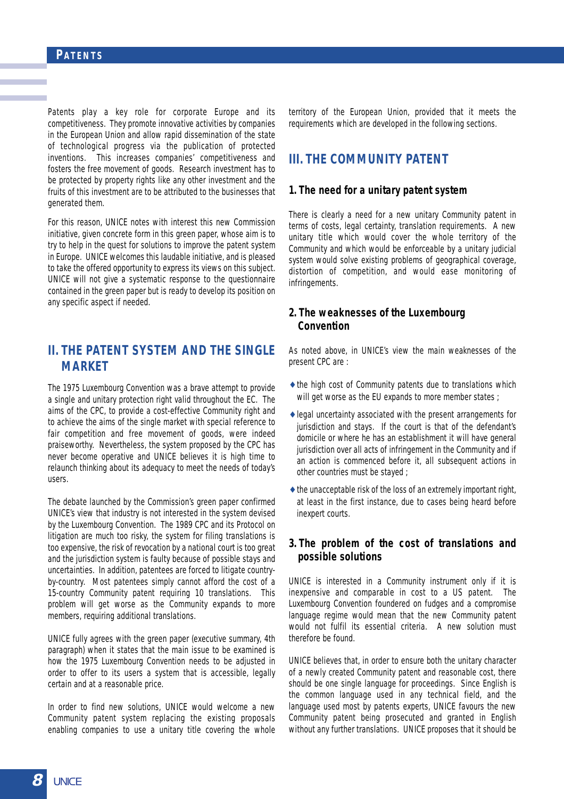Patents play a key role for corporate Europe and its competitiveness. They promote innovative activities by companies in the European Union and allow rapid dissemination of the state of technological progress via the publication of protected inventions. This increases companies' competitiveness and fosters the free movement of goods. Research investment has to be protected by property rights like any other investment and the fruits of this investment are to be attributed to the businesses that generated them.

For this reason, UNICE notes with interest this new Commission initiative, given concrete form in this green paper, whose aim is to try to help in the quest for solutions to improve the patent system in Europe. UNICE welcomes this laudable initiative, and is pleased to take the offered opportunity to express its views on this subject. UNICE will not give a systematic response to the questionnaire contained in the green paper but is ready to develop its position on any specific aspect if needed.

## **II. THE PATENT SYSTEM AND THE SINGLE MARKET**

The 1975 Luxembourg Convention was a brave attempt to provide a single and unitary protection right valid throughout the EC. The aims of the CPC, to provide a cost-effective Community right and to achieve the aims of the single market with special reference to fair competition and free movement of goods, were indeed praiseworthy. Nevertheless, the system proposed by the CPC has never become operative and UNICE believes it is high time to relaunch thinking about its adequacy to meet the needs of today's users.

The debate launched by the Commission's green paper confirmed UNICE's view that industry is not interested in the system devised by the Luxembourg Convention. The 1989 CPC and its Protocol on litigation are much too risky, the system for filing translations is too expensive, the risk of revocation by a national court is too great and the jurisdiction system is faulty because of possible stays and uncertainties. In addition, patentees are forced to litigate countryby-country. Most patentees simply cannot afford the cost of a 15-country Community patent requiring 10 translations. This problem will get worse as the Community expands to more members, requiring additional translations.

UNICE fully agrees with the green paper (executive summary, 4th paragraph) when it states that the main issue to be examined is how the 1975 Luxembourg Convention needs to be adjusted in order to offer to its users a system that is accessible, legally certain and at a reasonable price.

In order to find new solutions, UNICE would welcome a new Community patent system replacing the existing proposals enabling companies to use a unitary title covering the whole

territory of the European Union, provided that it meets the requirements which are developed in the following sections.

## **III. THE COMMUNITY PATENT**

#### **1. The need for a unitary patent system**

There is clearly a need for a new unitary Community patent in terms of costs, legal certainty, translation requirements. A new unitary title which would cover the whole territory of the Community and which would be enforceable by a unitary judicial system would solve existing problems of geographical coverage, distortion of competition, and would ease monitoring of infringements.

#### **2. The weaknesses of the Luxembourg Convention**

As noted above, in UNICE's view the main weaknesses of the present CPC are :

- ♦ the high cost of Community patents due to translations which will get worse as the EU expands to more member states ;
- ♦ legal uncertainty associated with the present arrangements for jurisdiction and stays. If the court is that of the defendant's domicile or where he has an establishment it will have general jurisdiction over all acts of infringement in the Community and if an action is commenced before it, all subsequent actions in other countries must be stayed ;
- $\triangle$  the unacceptable risk of the loss of an extremely important right, at least in the first instance, due to cases being heard before inexpert courts.

#### **3. The problem of the cost of translations and possible solutions**

UNICE is interested in a Community instrument only if it is inexpensive and comparable in cost to a US patent. The Luxembourg Convention foundered on fudges and a compromise language regime would mean that the new Community patent would not fulfil its essential criteria. A new solution must therefore be found.

UNICE believes that, in order to ensure both the unitary character of a newly created Community patent and reasonable cost, there should be one single language for proceedings. Since English is the common language used in any technical field, and the language used most by patents experts, UNICE favours the new Community patent being prosecuted and granted in English without any further translations. UNICE proposes that it should be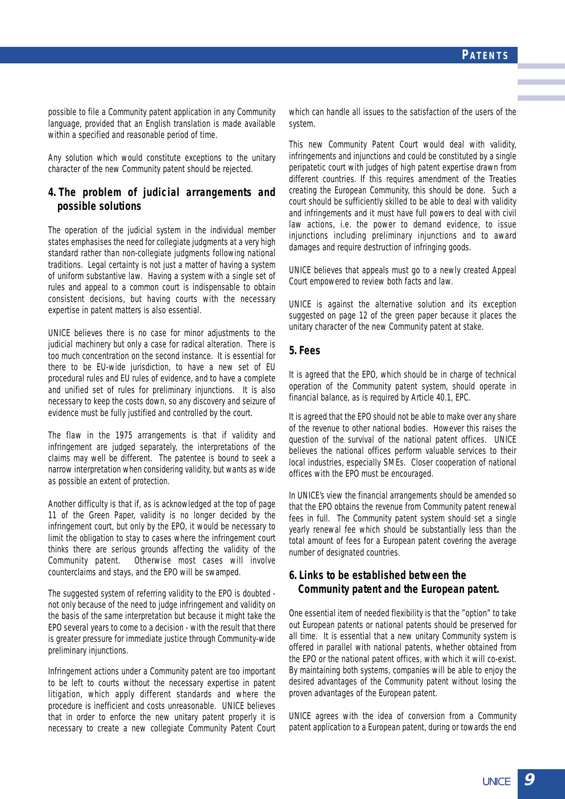possible to file a Community patent application in any Community language, provided that an English translation is made available within a specified and reasonable period of time.

Any solution which would constitute exceptions to the unitary character of the new Community patent should be rejected.

#### **4. The problem of judicial arrangements and possible solutions**

The operation of the judicial system in the individual member states emphasises the need for collegiate judgments at a very high standard rather than non-collegiate judgments following national traditions. Legal certainty is not just a matter of having a system of uniform substantive law. Having a system with a single set of rules and appeal to a common court is indispensable to obtain consistent decisions, but having courts with the necessary expertise in patent matters is also essential.

UNICE believes there is no case for minor adjustments to the judicial machinery but only a case for radical alteration. There is too much concentration on the second instance. It is essential for there to be EU-wide jurisdiction, to have a new set of EU procedural rules and EU rules of evidence, and to have a complete and unified set of rules for preliminary injunctions. It is also necessary to keep the costs down, so any discovery and seizure of evidence must be fully justified and controlled by the court.

The flaw in the 1975 arrangements is that if validity and infringement are judged separately, the interpretations of the claims may well be different. The patentee is bound to seek a narrow interpretation when considering validity, but wants as wide as possible an extent of protection.

Another difficulty is that if, as is acknowledged at the top of page 11 of the Green Paper, validity is no longer decided by the infringement court, but only by the EPO, it would be necessary to limit the obligation to stay to cases where the infringement court thinks there are serious grounds affecting the validity of the Community patent. Otherwise most cases will involve counterclaims and stays, and the EPO will be swamped.

The suggested system of referring validity to the EPO is doubted not only because of the need to judge infringement and validity on the basis of the same interpretation but because it might take the EPO several years to come to a decision - with the result that there is greater pressure for immediate justice through Community-wide preliminary injunctions.

Infringement actions under a Community patent are too important to be left to courts without the necessary expertise in patent litigation, which apply different standards and where the procedure is inefficient and costs unreasonable. UNICE believes that in order to enforce the new unitary patent properly it is necessary to create a new collegiate Community Patent Court which can handle all issues to the satisfaction of the users of the system.

This new Community Patent Court would deal with validity, infringements and injunctions and could be constituted by a single peripatetic court with judges of high patent expertise drawn from different countries. If this requires amendment of the Treaties creating the European Community, this should be done. Such a court should be sufficiently skilled to be able to deal with validity and infringements and it must have full powers to deal with civil law actions, i.e. the power to demand evidence, to issue injunctions including preliminary injunctions and to award damages and require destruction of infringing goods.

UNICE believes that appeals must go to a newly created Appeal Court empowered to review both facts and law.

UNICE is against the alternative solution and its exception suggested on page 12 of the green paper because it places the unitary character of the new Community patent at stake.

#### **5. Fees**

It is agreed that the EPO, which should be in charge of technical operation of the Community patent system, should operate in financial balance, as is required by Article 40.1, EPC.

It is agreed that the EPO should not be able to make over any share of the revenue to other national bodies. However this raises the question of the survival of the national patent offices. UNICE believes the national offices perform valuable services to their local industries, especially SMEs. Closer cooperation of national offices with the EPO must be encouraged.

In UNICE's view the financial arrangements should be amended so that the EPO obtains the revenue from Community patent renewal fees in full. The Community patent system should set a single yearly renewal fee which should be substantially less than the total amount of fees for a European patent covering the average number of designated countries.

#### **6. Links to be established between the Community patent and the European patent.**

One essential item of needed flexibility is that the "option" to take out European patents or national patents should be preserved for all time. It is essential that a new unitary Community system is offered in parallel with national patents, whether obtained from the EPO or the national patent offices, with which it will co-exist. By maintaining both systems, companies will be able to enjoy the desired advantages of the Community patent without losing the proven advantages of the European patent.

UNICE agrees with the idea of conversion from a Community patent application to a European patent, during or towards the end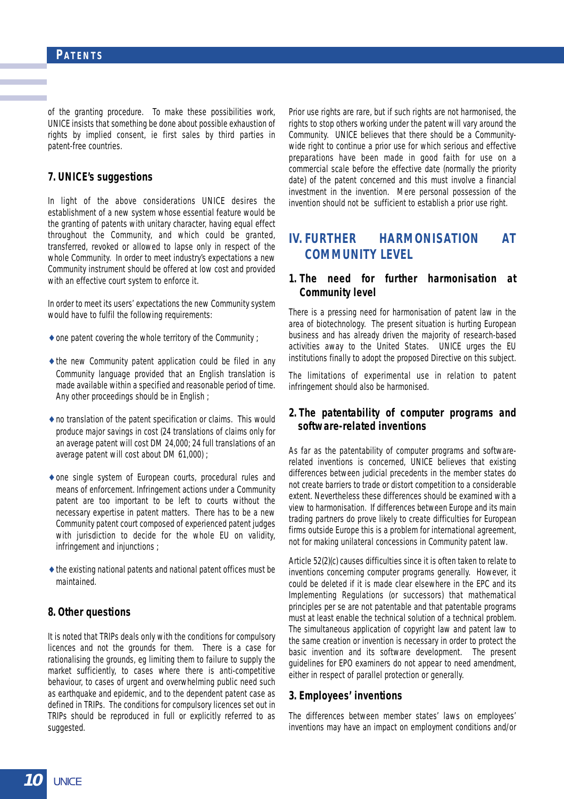of the granting procedure. To make these possibilities work, UNICE insists that something be done about possible exhaustion of rights by implied consent, ie first sales by third parties in patent-free countries.

#### **7. UNICE's suggestions**

In light of the above considerations UNICE desires the establishment of a new system whose essential feature would be the granting of patents with unitary character, having equal effect throughout the Community, and which could be granted, transferred, revoked or allowed to lapse only in respect of the whole Community. In order to meet industry's expectations a new Community instrument should be offered at low cost and provided with an effective court system to enforce it.

In order to meet its users' expectations the new Community system would have to fulfil the following requirements:

- $\triangle$  one patent covering the whole territory of the Community ;
- $\rightarrow$  the new Community patent application could be filed in any Community language provided that an English translation is made available within a specified and reasonable period of time. Any other proceedings should be in English ;
- ♦ no translation of the patent specification or claims. This would produce major savings in cost (24 translations of claims only for an average patent will cost DM 24,000; 24 full translations of an average patent will cost about DM 61,000) ;
- ♦ one single system of European courts, procedural rules and means of enforcement. Infringement actions under a Community patent are too important to be left to courts without the necessary expertise in patent matters. There has to be a new Community patent court composed of experienced patent judges with jurisdiction to decide for the whole EU on validity, infringement and injunctions ;
- $\triangle$  the existing national patents and national patent offices must be maintained.

#### **8. Other questions**

It is noted that TRIPs deals only with the conditions for compulsory licences and not the grounds for them. There is a case for rationalising the grounds, eg limiting them to failure to supply the market sufficiently, to cases where there is anti-competitive behaviour, to cases of urgent and overwhelming public need such as earthquake and epidemic, and to the dependent patent case as defined in TRIPs. The conditions for compulsory licences set out in TRIPs should be reproduced in full or explicitly referred to as suggested.

Prior use rights are rare, but if such rights are not harmonised, the rights to stop others working under the patent will vary around the Community. UNICE believes that there should be a Communitywide right to continue a prior use for which serious and effective preparations have been made in good faith for use on a commercial scale before the effective date (normally the priority date) of the patent concerned and this must involve a financial investment in the invention. Mere personal possession of the invention should not be sufficient to establish a prior use right.

## **IV. FURTHER HARMONISATION AT COMMUNITY LEVEL**

#### **1. The need for further harmonisation at Community level**

There is a pressing need for harmonisation of patent law in the area of biotechnology. The present situation is hurting European business and has already driven the majority of research-based activities away to the United States. UNICE urges the EU institutions finally to adopt the proposed Directive on this subject.

The limitations of experimental use in relation to patent infringement should also be harmonised.

#### **2. The patentability of computer programs and software-related inventions**

As far as the patentability of computer programs and softwarerelated inventions is concerned, UNICE believes that existing differences between judicial precedents in the member states do not create barriers to trade or distort competition to a considerable extent. Nevertheless these differences should be examined with a view to harmonisation. If differences between Europe and its main trading partners do prove likely to create difficulties for European firms outside Europe this is a problem for international agreement, not for making unilateral concessions in Community patent law.

Article 52(2)(c) causes difficulties since it is often taken to relate to inventions concerning computer programs generally. However, it could be deleted if it is made clear elsewhere in the EPC and its Implementing Regulations (or successors) that mathematical principles per se are not patentable and that patentable programs must at least enable the technical solution of a technical problem. The simultaneous application of copyright law and patent law to the same creation or invention is necessary in order to protect the basic invention and its software development. The present guidelines for EPO examiners do not appear to need amendment, either in respect of parallel protection or generally.

#### **3. Employees' inventions**

The differences between member states' laws on employees' inventions may have an impact on employment conditions and/or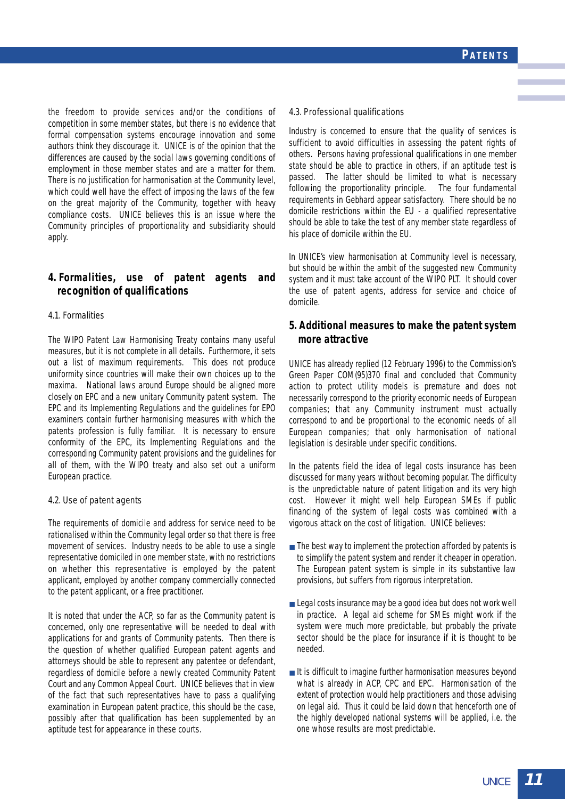the freedom to provide services and/or the conditions of competition in some member states, but there is no evidence that formal compensation systems encourage innovation and some authors think they discourage it. UNICE is of the opinion that the differences are caused by the social laws governing conditions of employment in those member states and are a matter for them. There is no justification for harmonisation at the Community level, which could well have the effect of imposing the laws of the few on the great majority of the Community, together with heavy compliance costs. UNICE believes this is an issue where the Community principles of proportionality and subsidiarity should apply.

#### **4. Formalities, use of patent agents and recognition of qualifications**

#### 4.1. Formalities

The WIPO Patent Law Harmonising Treaty contains many useful measures, but it is not complete in all details. Furthermore, it sets out a list of maximum requirements. This does not produce uniformity since countries will make their own choices up to the maxima. National laws around Europe should be aligned more closely on EPC and a new unitary Community patent system. The EPC and its Implementing Regulations and the guidelines for EPO examiners contain further harmonising measures with which the patents profession is fully familiar. It is necessary to ensure conformity of the EPC, its Implementing Regulations and the corresponding Community patent provisions and the guidelines for all of them, with the WIPO treaty and also set out a uniform European practice.

#### 4.2. Use of patent agents

The requirements of domicile and address for service need to be rationalised within the Community legal order so that there is free movement of services. Industry needs to be able to use a single representative domiciled in one member state, with no restrictions on whether this representative is employed by the patent applicant, employed by another company commercially connected to the patent applicant, or a free practitioner.

It is noted that under the ACP, so far as the Community patent is concerned, only one representative will be needed to deal with applications for and grants of Community patents. Then there is the question of whether qualified European patent agents and attorneys should be able to represent any patentee or defendant, regardless of domicile before a newly created Community Patent Court and any Common Appeal Court. UNICE believes that in view of the fact that such representatives have to pass a qualifying examination in European patent practice, this should be the case, possibly after that qualification has been supplemented by an aptitude test for appearance in these courts.

#### 4.3. Professional qualifications

Industry is concerned to ensure that the quality of services is sufficient to avoid difficulties in assessing the patent rights of others. Persons having professional qualifications in one member state should be able to practice in others, if an aptitude test is passed. The latter should be limited to what is necessary following the proportionality principle. The four fundamental requirements in Gebhard appear satisfactory. There should be no domicile restrictions within the EU - a qualified representative should be able to take the test of any member state regardless of his place of domicile within the EU.

In UNICE's view harmonisation at Community level is necessary. but should be within the ambit of the suggested new Community system and it must take account of the WIPO PLT. It should cover the use of patent agents, address for service and choice of domicile.

#### **5. Additional measures to make the patent system more attractive**

UNICE has already replied (12 February 1996) to the Commission's Green Paper COM(95)370 final and concluded that Community action to protect utility models is premature and does not necessarily correspond to the priority economic needs of European companies; that any Community instrument must actually correspond to and be proportional to the economic needs of all European companies; that only harmonisation of national legislation is desirable under specific conditions.

In the patents field the idea of legal costs insurance has been discussed for many years without becoming popular. The difficulty is the unpredictable nature of patent litigation and its very high cost. However it might well help European SMEs if public financing of the system of legal costs was combined with a vigorous attack on the cost of litigation. UNICE believes:

- The best way to implement the protection afforded by patents is to simplify the patent system and render it cheaper in operation. The European patent system is simple in its substantive law provisions, but suffers from rigorous interpretation.
- Legal costs insurance may be a good idea but does not work well in practice. A legal aid scheme for SMEs might work if the system were much more predictable, but probably the private sector should be the place for insurance if it is thought to be needed.
- It is difficult to imagine further harmonisation measures beyond what is already in ACP, CPC and EPC. Harmonisation of the extent of protection would help practitioners and those advising on legal aid. Thus it could be laid down that henceforth one of the highly developed national systems will be applied, i.e. the one whose results are most predictable.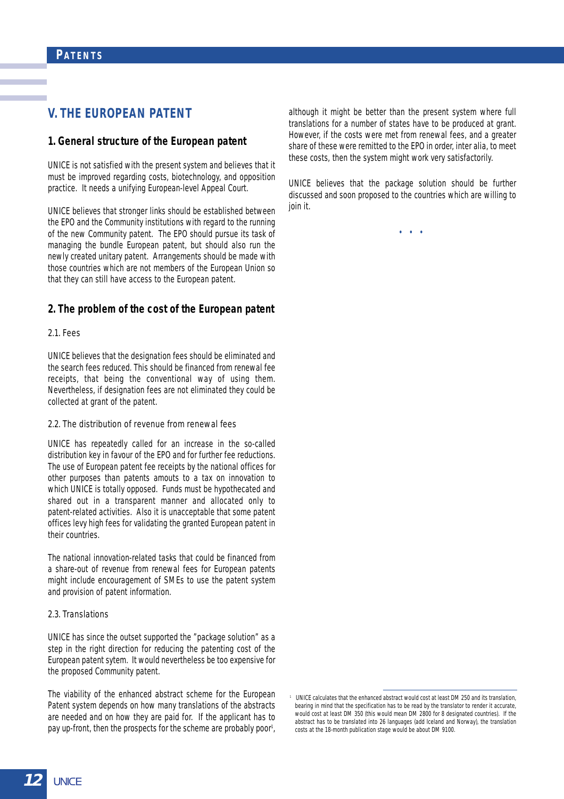## **V. THE EUROPEAN PATENT**

#### **1. General structure of the European patent**

UNICE is not satisfied with the present system and believes that it must be improved regarding costs, biotechnology, and opposition practice. It needs a unifying European-level Appeal Court.

UNICE believes that stronger links should be established between the EPO and the Community institutions with regard to the running of the new Community patent. The EPO should pursue its task of managing the bundle European patent, but should also run the newly created unitary patent. Arrangements should be made with those countries which are not members of the European Union so that they can still have access to the European patent.

#### **2. The problem of the cost of the European patent**

#### 2.1. Fees

UNICE believes that the designation fees should be eliminated and the search fees reduced. This should be financed from renewal fee receipts, that being the conventional way of using them. Nevertheless, if designation fees are not eliminated they could be collected at grant of the patent.

#### 2.2. The distribution of revenue from renewal fees

UNICE has repeatedly called for an increase in the so-called distribution key in favour of the EPO and for further fee reductions. The use of European patent fee receipts by the national offices for other purposes than patents amouts to a tax on innovation to which UNICE is totally opposed. Funds must be hypothecated and shared out in a transparent manner and allocated only to patent-related activities. Also it is unacceptable that some patent offices levy high fees for validating the granted European patent in their countries.

The national innovation-related tasks that could be financed from a share-out of revenue from renewal fees for European patents might include encouragement of SMEs to use the patent system and provision of patent information.

#### 2.3. Translations

UNICE has since the outset supported the "package solution" as a step in the right direction for reducing the patenting cost of the European patent sytem. It would nevertheless be too expensive for the proposed Community patent.

The viability of the enhanced abstract scheme for the European Patent system depends on how many translations of the abstracts are needed and on how they are paid for. If the applicant has to pay up-front, then the prospects for the scheme are probably poor<sup>1</sup>,

although it might be better than the present system where full translations for a number of states have to be produced at grant. However, if the costs were met from renewal fees, and a greater share of these were remitted to the EPO in order, inter alia, to meet these costs, then the system might work very satisfactorily.

UNICE believes that the package solution should be further discussed and soon proposed to the countries which are willing to join it.

• • •

<sup>1</sup> UNICE calculates that the enhanced abstract would cost at least DM 250 and its translation, bearing in mind that the specification has to be read by the translator to render it accurate, would cost at least DM 350 (this would mean DM 2800 for 8 designated countries). If the abstract has to be translated into 26 languages (add Iceland and Norway), the translation costs at the 18-month publication stage would be about DM 9100.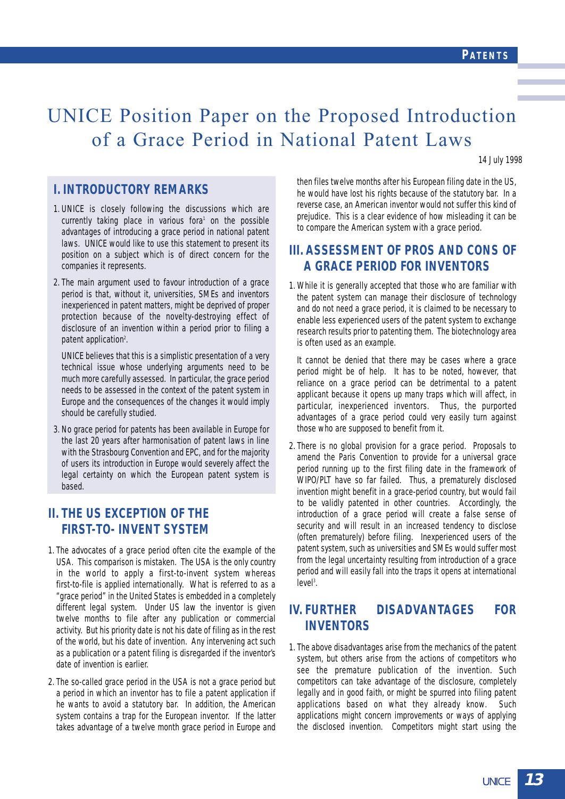14 July 1998

## UNICE Position Paper on the Proposed Introduction of a Grace Period in National Patent Laws

## **I. INTRODUCTORY REMARKS**

- 1. UNICE is closely following the discussions which are currently taking place in various fora<sup>1</sup> on the possible advantages of introducing a grace period in national patent laws. UNICE would like to use this statement to present its position on a subject which is of direct concern for the companies it represents.
- 2. The main argument used to favour introduction of a grace period is that, without it, universities, SMEs and inventors inexperienced in patent matters, might be deprived of proper protection because of the novelty-destroying effect of disclosure of an invention within a period prior to filing a patent application<sup>2</sup>.

UNICE believes that this is a simplistic presentation of a very technical issue whose underlying arguments need to be much more carefully assessed. In particular, the grace period needs to be assessed in the context of the patent system in Europe and the consequences of the changes it would imply should be carefully studied.

3. No grace period for patents has been available in Europe for the last 20 years after harmonisation of patent laws in line with the Strasbourg Convention and EPC, and for the majority of users its introduction in Europe would severely affect the legal certainty on which the European patent system is based.

## **II. THE US EXCEPTION OF THE FIRST-TO- INVENT SYSTEM**

- 1. The advocates of a grace period often cite the example of the USA. This comparison is mistaken. The USA is the only country in the world to apply a first-to-invent system whereas first-to-file is applied internationally. What is referred to as a "grace period" in the United States is embedded in a completely different legal system. Under US law the inventor is given twelve months to file after any publication or commercial activity. But his priority date is not his date of filing as in the rest of the world, but his date of invention. Any intervening act such as a publication or a patent filing is disregarded if the inventor's date of invention is earlier.
- 2. The so-called grace period in the USA is not a grace period but a period in which an inventor has to file a patent application if he wants to avoid a statutory bar. In addition, the American system contains a trap for the European inventor. If the latter takes advantage of a twelve month grace period in Europe and

then files twelve months after his European filing date in the US, he would have lost his rights because of the statutory bar. In a reverse case, an American inventor would not suffer this kind of prejudice. This is a clear evidence of how misleading it can be to compare the American system with a grace period.

## **III. ASSESSMENT OF PROS AND CONS OF A GRACE PERIOD FOR INVENTORS**

1. While it is generally accepted that those who are familiar with the patent system can manage their disclosure of technology and do not need a grace period, it is claimed to be necessary to enable less experienced users of the patent system to exchange research results prior to patenting them. The biotechnology area is often used as an example.

It cannot be denied that there may be cases where a grace period might be of help. It has to be noted, however, that reliance on a grace period can be detrimental to a patent applicant because it opens up many traps which will affect, in particular, inexperienced inventors. Thus, the purported advantages of a grace period could very easily turn against those who are supposed to benefit from it.

2. There is no global provision for a grace period. Proposals to amend the Paris Convention to provide for a universal grace period running up to the first filing date in the framework of WIPO/PLT have so far failed. Thus, a prematurely disclosed invention might benefit in a grace-period country, but would fail to be validly patented in other countries. Accordingly, the introduction of a grace period will create a false sense of security and will result in an increased tendency to disclose (often prematurely) before filing. Inexperienced users of the patent system, such as universities and SMEs would suffer most from the legal uncertainty resulting from introduction of a grace period and will easily fall into the traps it opens at international level<sup>3</sup>.

## **IV. FURTHER DISADVANTAGES FOR INVENTORS**

1. The above disadvantages arise from the mechanics of the patent system, but others arise from the actions of competitors who see the premature publication of the invention. Such competitors can take advantage of the disclosure, completely legally and in good faith, or might be spurred into filing patent applications based on what they already know. Such applications might concern improvements or ways of applying the disclosed invention. Competitors might start using the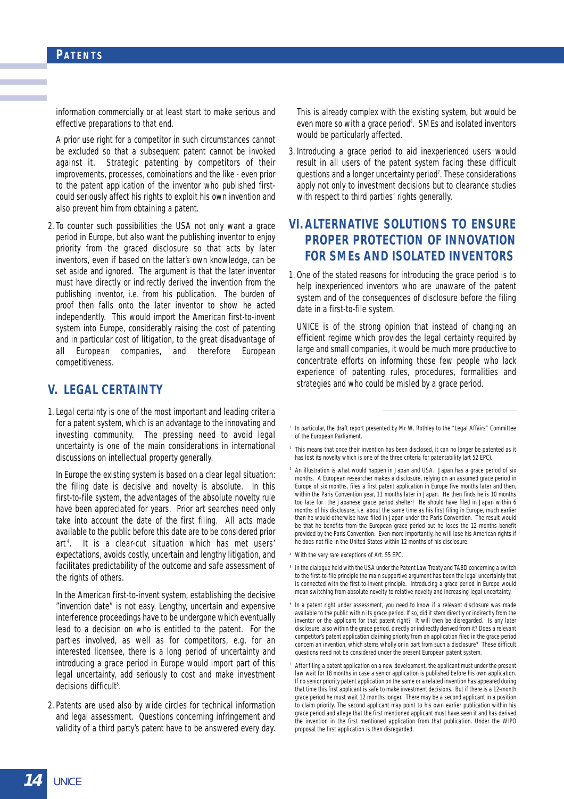#### **PATENTS**

information commercially or at least start to make serious and effective preparations to that end.

A prior use right for a competitor in such circumstances cannot be excluded so that a subsequent patent cannot be invoked against it. Strategic patenting by competitors of their improvements, processes, combinations and the like - even prior to the patent application of the inventor who published firstcould seriously affect his rights to exploit his own invention and also prevent him from obtaining a patent.

2. To counter such possibilities the USA not only want a grace period in Europe, but also want the publishing inventor to enjoy priority from the graced disclosure so that acts by later inventors, even if based on the latter's own knowledge, can be set aside and ignored. The argument is that the later inventor must have directly or indirectly derived the invention from the publishing inventor, i.e. from his publication. The burden of proof then falls onto the later inventor to show he acted independently. This would import the American first-to-invent system into Europe, considerably raising the cost of patenting and in particular cost of litigation, to the great disadvantage of all European companies, and therefore European competitiveness.

### **V. LEGAL CERTAINTY**

1. Legal certainty is one of the most important and leading criteria for a patent system, which is an advantage to the innovating and investing community. The pressing need to avoid legal uncertainty is one of the main considerations in international discussions on intellectual property generally.

In Europe the existing system is based on a clear legal situation: the filing date is decisive and novelty is absolute. In this first-to-file system, the advantages of the absolute novelty rule have been appreciated for years. Prior art searches need only take into account the date of the first filing. All acts made available to the public before this date are to be considered prior art <sup>4</sup> . It is a clear-cut situation which has met users' expectations, avoids costly, uncertain and lengthy litigation, and facilitates predictability of the outcome and safe assessment of the rights of others.

In the American first-to-invent system, establishing the decisive "invention date" is not easy. Lengthy, uncertain and expensive interference proceedings have to be undergone which eventually lead to a decision on who is entitled to the patent. For the parties involved, as well as for competitors, e.g. for an interested licensee, there is a long period of uncertainty and introducing a grace period in Europe would import part of this legal uncertainty, add seriously to cost and make investment decisions difficult<sup>5</sup>.

2. Patents are used also by wide circles for technical information and legal assessment. Questions concerning infringement and validity of a third party's patent have to be answered every day.

This is already complex with the existing system, but would be even more so with a grace period<sup>6</sup>. SMEs and isolated inventors would be particularly affected.

3. Introducing a grace period to aid inexperienced users would result in all users of the patent system facing these difficult questions and a longer uncertainty period<sup>7</sup>. These considerations apply not only to investment decisions but to clearance studies with respect to third parties' rights generally.

## **VI. ALTERNATIVE SOLUTIONS TO ENSURE PROPER PROTECTION OF INNOVATION FOR SMEs AND ISOLATED INVENTORS**

1. One of the stated reasons for introducing the grace period is to help inexperienced inventors who are unaware of the patent system and of the consequences of disclosure before the filing date in a first-to-file system.

UNICE is of the strong opinion that instead of changing an efficient regime which provides the legal certainty required by large and small companies, it would be much more productive to concentrate efforts on informing those few people who lack experience of patenting rules, procedures, formalities and strategies and who could be misled by a grace period.

- <sup>1</sup> In particular, the draft report presented by Mr W. Rothley to the "Legal Affairs" Committee of the European Parliament.
- <sup>2</sup> This means that once their invention has been disclosed, it can no longer be patented as it has lost its novelty which is one of the three criteria for patentability (art 52 EPC).
- <sup>3</sup> An illustration is what would happen in Japan and USA. Japan has a grace period of six months. A European researcher makes a disclosure, relying on an assumed grace period in Europe of six months, files a first patent application in Europe five months later and then, within the Paris Convention year, 11 months later in Japan. He then finds he is 10 months too late for the Japanese grace period shelter! He should have filed in Japan within 6 months of his disclosure, i.e. about the same time as his first filing in Europe, much earlier than he would otherwise have filed in Japan under the Paris Convention. The result would be that he benefits from the European grace period but he loses the 12 months benefit provided by the Paris Convention. Even more importantly, he will lose his American rights if he does not file in the United States within 12 months of his disclosure.
- <sup>4</sup> With the very rare exceptions of Art. 55 EPC.
- <sup>5</sup> In the dialoque held with the USA under the Patent Law Treaty and TABD concerning a switch to the first-to-file principle the main supportive argument has been the legal uncertainty that is connected with the first-to-invent principle. Introducing a grace period in Europe would mean switching from absolute novelty to relative novelty and increasing legal uncertainty.
- In a patent right under assessment, you need to know if a relevant disclosure was made available to the public within its grace period. If so, did it stem directly or indirectly from the inventor or the applicant for that patent right? It will then be disregarded. Is any later disclosure, also within the grace period, directly or indirectly derived from it? Does a relevant competitor's patent application claiming priority from an application filed in the grace period concern an invention, which stems wholly or in part from such a disclosure? These difficult questions need not be considered under the present European patent system.
- <sup>7</sup> After filing a patent application on a new development, the applicant must under the present law wait for 18 months in case a senior application is published before his own application. If no senior priority patent application on the same or a related invention has appeared during that time this first applicant is safe to make investment decisions. But if there is a 12-month grace period he must wait 12 months longer. There may be a second applicant in a position to claim priority. The second applicant may point to his own earlier publication within his grace period and allege that the first mentioned applicant must have seen it and has derived the invention in the first mentioned application from that publication. Under the WIPO proposal the first application is then disregarded.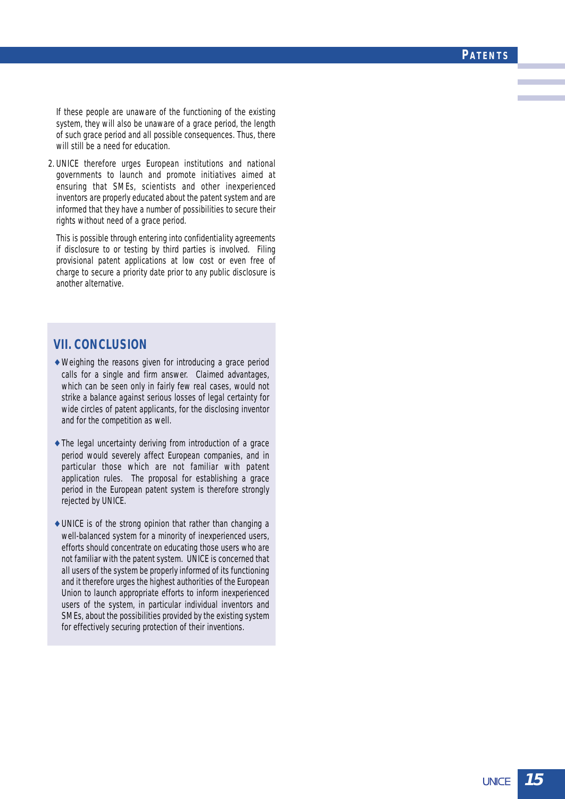#### **PATENTS**

If these people are unaware of the functioning of the existing system, they will also be unaware of a grace period, the length of such grace period and all possible consequences. Thus, there will still be a need for education.

2. UNICE therefore urges European institutions and national governments to launch and promote initiatives aimed at ensuring that SMEs, scientists and other inexperienced inventors are properly educated about the patent system and are informed that they have a number of possibilities to secure their rights without need of a grace period.

This is possible through entering into confidentiality agreements if disclosure to or testing by third parties is involved. Filing provisional patent applications at low cost or even free of charge to secure a priority date prior to any public disclosure is another alternative.

### **VII. CONCLUSION**

- $\rightarrow$  Weighing the reasons given for introducing a grace period calls for a single and firm answer. Claimed advantages, which can be seen only in fairly few real cases, would not strike a balance against serious losses of legal certainty for wide circles of patent applicants, for the disclosing inventor and for the competition as well.
- $\rightarrow$  The legal uncertainty deriving from introduction of a grace period would severely affect European companies, and in particular those which are not familiar with patent application rules. The proposal for establishing a grace period in the European patent system is therefore strongly rejected by UNICE.
- $\rightarrow$  UNICE is of the strong opinion that rather than changing a well-balanced system for a minority of inexperienced users, efforts should concentrate on educating those users who are not familiar with the patent system. UNICE is concerned that all users of the system be properly informed of its functioning and it therefore urges the highest authorities of the European Union to launch appropriate efforts to inform inexperienced users of the system, in particular individual inventors and SMEs, about the possibilities provided by the existing system for effectively securing protection of their inventions.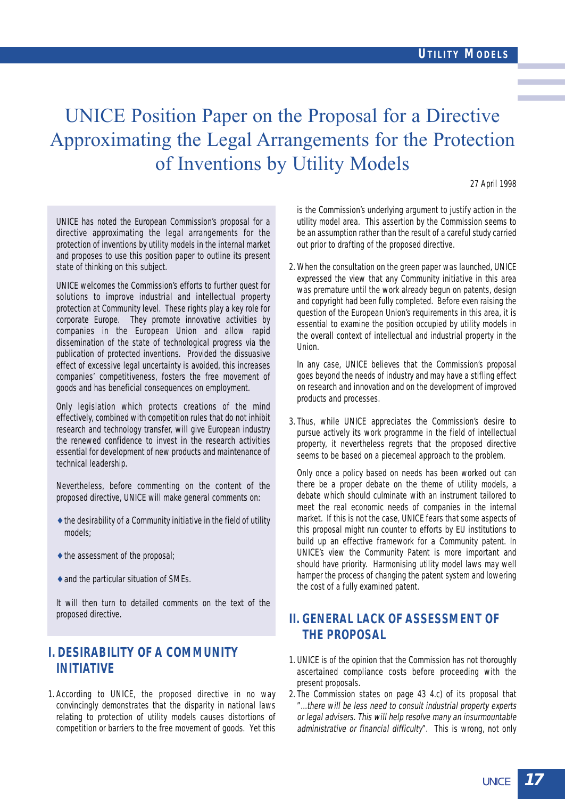## UNICE Position Paper on the Proposal for a Directive Approximating the Legal Arrangements for the Protection of Inventions by Utility Models

27 April 1998

UNICE has noted the European Commission's proposal for a directive approximating the legal arrangements for the protection of inventions by utility models in the internal market and proposes to use this position paper to outline its present state of thinking on this subject.

UNICE welcomes the Commission's efforts to further quest for solutions to improve industrial and intellectual property protection at Community level. These rights play a key role for corporate Europe. They promote innovative activities by companies in the European Union and allow rapid dissemination of the state of technological progress via the publication of protected inventions. Provided the dissuasive effect of excessive legal uncertainty is avoided, this increases companies' competitiveness, fosters the free movement of goods and has beneficial consequences on employment.

Only legislation which protects creations of the mind effectively, combined with competition rules that do not inhibit research and technology transfer, will give European industry the renewed confidence to invest in the research activities essential for development of new products and maintenance of technical leadership.

Nevertheless, before commenting on the content of the proposed directive, UNICE will make general comments on:

- $\triangle$  the desirability of a Community initiative in the field of utility models;
- $\triangle$  the assessment of the proposal;
- ♦ and the particular situation of SMEs.

It will then turn to detailed comments on the text of the proposed directive.

## **I. DESIRABILITY OF A COMMUNITY INITIATIVE**

1. According to UNICE, the proposed directive in no way convincingly demonstrates that the disparity in national laws relating to protection of utility models causes distortions of competition or barriers to the free movement of goods. Yet this is the Commission's underlying argument to justify action in the utility model area. This assertion by the Commission seems to be an assumption rather than the result of a careful study carried out prior to drafting of the proposed directive.

2. When the consultation on the green paper was launched, UNICE expressed the view that any Community initiative in this area was premature until the work already begun on patents, design and copyright had been fully completed. Before even raising the question of the European Union's requirements in this area, it is essential to examine the position occupied by utility models in the overall context of intellectual and industrial property in the Union.

In any case, UNICE believes that the Commission's proposal goes beyond the needs of industry and may have a stifling effect on research and innovation and on the development of improved products and processes.

3. Thus, while UNICE appreciates the Commission's desire to pursue actively its work programme in the field of intellectual property, it nevertheless regrets that the proposed directive seems to be based on a piecemeal approach to the problem.

Only once a policy based on needs has been worked out can there be a proper debate on the theme of utility models, a debate which should culminate with an instrument tailored to meet the real economic needs of companies in the internal market. If this is not the case, UNICE fears that some aspects of this proposal might run counter to efforts by EU institutions to build up an effective framework for a Community patent. In UNICE's view the Community Patent is more important and should have priority. Harmonising utility model laws may well hamper the process of changing the patent system and lowering the cost of a fully examined patent.

## **II. GENERAL LACK OF ASSESSMENT OF THE PROPOSAL**

- 1. UNICE is of the opinion that the Commission has not thoroughly ascertained compliance costs before proceeding with the present proposals.
- 2. The Commission states on page 43 4.c) of its proposal that "...there will be less need to consult industrial property experts or legal advisers. This will help resolve many an insurmountable administrative or financial difficulty". This is wrong, not only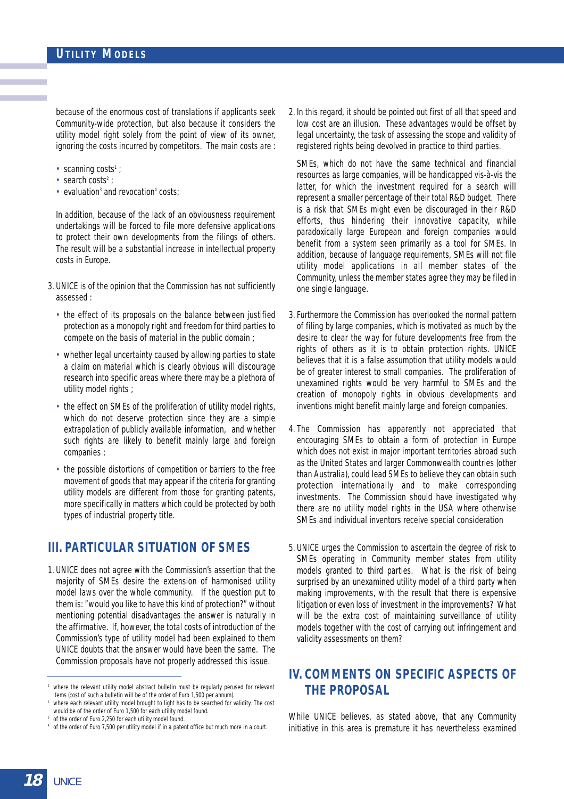because of the enormous cost of translations if applicants seek Community-wide protection, but also because it considers the utility model right solely from the point of view of its owner, ignoring the costs incurred by competitors. The main costs are :

- scanning costs<sup>1</sup> ;
- search costs<sup>2</sup> ;
- evaluation<sup>3</sup> and revocation<sup>4</sup> costs;

In addition, because of the lack of an obviousness requirement undertakings will be forced to file more defensive applications to protect their own developments from the filings of others. The result will be a substantial increase in intellectual property costs in Europe.

- 3. UNICE is of the opinion that the Commission has not sufficiently assessed :
	- the effect of its proposals on the balance between justified protection as a monopoly right and freedom for third parties to compete on the basis of material in the public domain ;
	- whether legal uncertainty caused by allowing parties to state a claim on material which is clearly obvious will discourage research into specific areas where there may be a plethora of utility model rights ;
	- the effect on SMEs of the proliferation of utility model rights, which do not deserve protection since they are a simple extrapolation of publicly available information, and whether such rights are likely to benefit mainly large and foreign companies ;
	- the possible distortions of competition or barriers to the free movement of goods that may appear if the criteria for granting utility models are different from those for granting patents, more specifically in matters which could be protected by both types of industrial property title.

### **III. PARTICULAR SITUATION OF SMES**

1. UNICE does not agree with the Commission's assertion that the majority of SMEs desire the extension of harmonised utility model laws over the whole community. If the question put to them is: "would you like to have this kind of protection?" without mentioning potential disadvantages the answer is naturally in the affirmative. If, however, the total costs of introduction of the Commission's type of utility model had been explained to them UNICE doubts that the answer would have been the same. The Commission proposals have not properly addressed this issue.

2. In this regard, it should be pointed out first of all that speed and low cost are an illusion. These advantages would be offset by legal uncertainty, the task of assessing the scope and validity of registered rights being devolved in practice to third parties.

SMEs, which do not have the same technical and financial resources as large companies, will be handicapped vis-à-vis the latter, for which the investment required for a search will represent a smaller percentage of their total R&D budget. There is a risk that SMEs might even be discouraged in their R&D efforts, thus hindering their innovative capacity, while paradoxically large European and foreign companies would benefit from a system seen primarily as a tool for SMEs. In addition, because of language requirements, SMEs will not file utility model applications in all member states of the Community, unless the member states agree they may be filed in one single language.

- 3. Furthermore the Commission has overlooked the normal pattern of filing by large companies, which is motivated as much by the desire to clear the way for future developments free from the rights of others as it is to obtain protection rights. UNICE believes that it is a false assumption that utility models would be of greater interest to small companies. The proliferation of unexamined rights would be very harmful to SMEs and the creation of monopoly rights in obvious developments and inventions might benefit mainly large and foreign companies.
- 4. The Commission has apparently not appreciated that encouraging SMEs to obtain a form of protection in Europe which does not exist in major important territories abroad such as the United States and larger Commonwealth countries (other than Australia), could lead SMEs to believe they can obtain such protection internationally and to make corresponding investments. The Commission should have investigated why there are no utility model rights in the USA where otherwise SMEs and individual inventors receive special consideration
- 5. UNICE urges the Commission to ascertain the degree of risk to SMEs operating in Community member states from utility models granted to third parties. What is the risk of being surprised by an unexamined utility model of a third party when making improvements, with the result that there is expensive litigation or even loss of investment in the improvements? What will be the extra cost of maintaining surveillance of utility models together with the cost of carrying out infringement and validity assessments on them?

## **IV. COMMENTS ON SPECIFIC ASPECTS OF THE PROPOSAL**

While UNICE believes, as stated above, that any Community initiative in this area is premature it has nevertheless examined

where the relevant utility model abstract bulletin must be regularly perused for relevant items (cost of such a bulletin will be of the order of Euro 1,500 per annum).

where each relevant utility model brought to light has to be searched for validity. The cost would be of the order of Euro 1,500 for each utility model found.

of the order of Euro 2,250 for each utility model found.

<sup>4</sup> of the order of Euro 7,500 per utility model if in a patent office but much more in a court.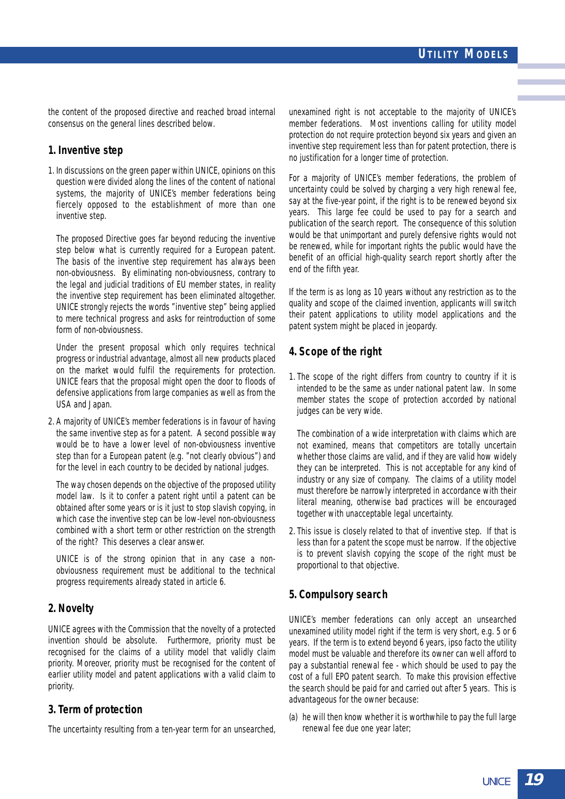the content of the proposed directive and reached broad internal consensus on the general lines described below.

#### **1. Inventive step**

1. In discussions on the green paper within UNICE, opinions on this question were divided along the lines of the content of national systems, the majority of UNICE's member federations being fiercely opposed to the establishment of more than one inventive step.

The proposed Directive goes far beyond reducing the inventive step below what is currently required for a European patent. The basis of the inventive step requirement has always been non-obviousness. By eliminating non-obviousness, contrary to the legal and judicial traditions of EU member states, in reality the inventive step requirement has been eliminated altogether. UNICE strongly rejects the words "inventive step" being applied to mere technical progress and asks for reintroduction of some form of non-obviousness.

Under the present proposal which only requires technical progress or industrial advantage, almost all new products placed on the market would fulfil the requirements for protection. UNICE fears that the proposal might open the door to floods of defensive applications from large companies as well as from the USA and Japan.

2. A majority of UNICE's member federations is in favour of having the same inventive step as for a patent. A second possible way would be to have a lower level of non-obviousness inventive step than for a European patent (e.g. "not clearly obvious") and for the level in each country to be decided by national judges.

The way chosen depends on the objective of the proposed utility model law. Is it to confer a patent right until a patent can be obtained after some years or is it just to stop slavish copying, in which case the inventive step can be low-level non-obviousness combined with a short term or other restriction on the strength of the right? This deserves a clear answer.

UNICE is of the strong opinion that in any case a nonobviousness requirement must be additional to the technical progress requirements already stated in article 6.

#### **2. Novelty**

UNICE agrees with the Commission that the novelty of a protected invention should be absolute. Furthermore, priority must be recognised for the claims of a utility model that validly claim priority. Moreover, priority must be recognised for the content of earlier utility model and patent applications with a valid claim to priority.

#### **3. Term of protection**

The uncertainty resulting from a ten-year term for an unsearched,

unexamined right is not acceptable to the majority of UNICE's member federations. Most inventions calling for utility model protection do not require protection beyond six years and given an inventive step requirement less than for patent protection, there is no justification for a longer time of protection.

For a majority of UNICE's member federations, the problem of uncertainty could be solved by charging a very high renewal fee, say at the five-year point, if the right is to be renewed beyond six years. This large fee could be used to pay for a search and publication of the search report. The consequence of this solution would be that unimportant and purely defensive rights would not be renewed, while for important rights the public would have the benefit of an official high-quality search report shortly after the end of the fifth year.

If the term is as long as 10 years without any restriction as to the quality and scope of the claimed invention, applicants will switch their patent applications to utility model applications and the patent system might be placed in jeopardy.

#### **4. Scope of the right**

1. The scope of the right differs from country to country if it is intended to be the same as under national patent law. In some member states the scope of protection accorded by national judges can be very wide.

The combination of a wide interpretation with claims which are not examined, means that competitors are totally uncertain whether those claims are valid, and if they are valid how widely they can be interpreted. This is not acceptable for any kind of industry or any size of company. The claims of a utility model must therefore be narrowly interpreted in accordance with their literal meaning, otherwise bad practices will be encouraged together with unacceptable legal uncertainty.

2. This issue is closely related to that of inventive step. If that is less than for a patent the scope must be narrow. If the objective is to prevent slavish copying the scope of the right must be proportional to that objective.

#### **5. Compulsory search**

UNICE's member federations can only accept an unsearched unexamined utility model right if the term is very short, e.g. 5 or 6 years. If the term is to extend beyond 6 years, ipso facto the utility model must be valuable and therefore its owner can well afford to pay a substantial renewal fee - which should be used to pay the cost of a full EPO patent search. To make this provision effective the search should be paid for and carried out after 5 years. This is advantageous for the owner because:

(a) he will then know whether it is worthwhile to pay the full large renewal fee due one year later;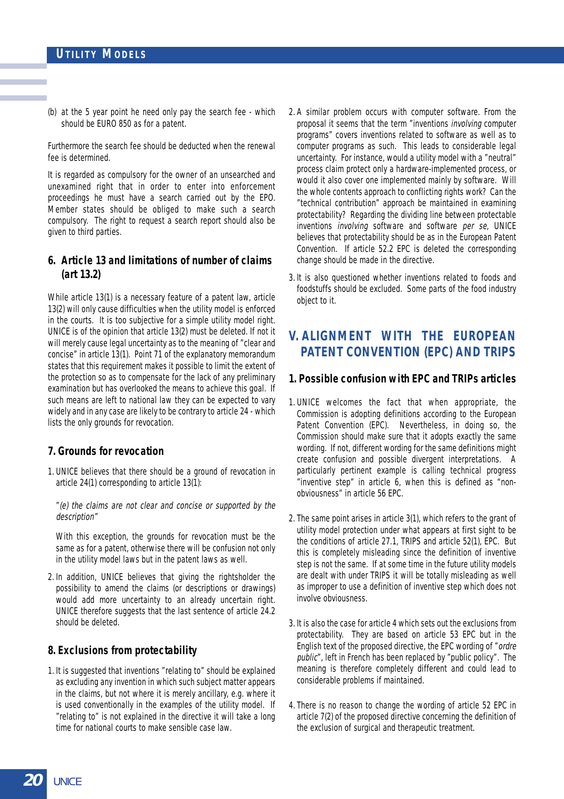(b) at the 5 year point he need only pay the search fee - which should be EURO 850 as for a patent.

Furthermore the search fee should be deducted when the renewal fee is determined.

It is regarded as compulsory for the owner of an unsearched and unexamined right that in order to enter into enforcement proceedings he must have a search carried out by the EPO. Member states should be obliged to make such a search compulsory. The right to request a search report should also be given to third parties.

#### **6. Article 13 and limitations of number of claims (art 13.2)**

While article 13(1) is a necessary feature of a patent law, article 13(2) will only cause difficulties when the utility model is enforced in the courts. It is too subjective for a simple utility model right. UNICE is of the opinion that article 13(2) must be deleted. If not it will merely cause legal uncertainty as to the meaning of "clear and concise" in article 13(1). Point 71 of the explanatory memorandum states that this requirement makes it possible to limit the extent of the protection so as to compensate for the lack of any preliminary examination but has overlooked the means to achieve this goal. If such means are left to national law they can be expected to vary widely and in any case are likely to be contrary to article 24 - which lists the only grounds for revocation.

#### **7. Grounds for revocation**

1. UNICE believes that there should be a ground of revocation in article 24(1) corresponding to article 13(1):

"(e) the claims are not clear and concise or supported by the description<sup>®</sup>

With this exception, the grounds for revocation must be the same as for a patent, otherwise there will be confusion not only in the utility model laws but in the patent laws as well.

2. In addition, UNICE believes that giving the rightsholder the possibility to amend the claims (or descriptions or drawings) would add more uncertainty to an already uncertain right. UNICE therefore suggests that the last sentence of article 24.2 should be deleted.

#### **8. Exclusions from protectability**

1. It is suggested that inventions "relating to" should be explained as excluding any invention in which such subject matter appears in the claims, but not where it is merely ancillary, e.g. where it is used conventionally in the examples of the utility model. If "relating to" is not explained in the directive it will take a long time for national courts to make sensible case law.

- 2. A similar problem occurs with computer software. From the proposal it seems that the term "inventions involving computer programs" covers inventions related to software as well as to computer programs as such. This leads to considerable legal uncertainty. For instance, would a utility model with a "neutral" process claim protect only a hardware-implemented process, or would it also cover one implemented mainly by software. Will the whole contents approach to conflicting rights work? Can the "technical contribution" approach be maintained in examining protectability? Regarding the dividing line between protectable inventions *involving* software and software *per se*, UNICE believes that protectability should be as in the European Patent Convention. If article 52.2 EPC is deleted the corresponding change should be made in the directive.
- 3. It is also questioned whether inventions related to foods and foodstuffs should be excluded. Some parts of the food industry object to it.

## **V. ALIGNMENT WITH THE EUROPEAN PATENT CONVENTION (EPC) AND TRIPS**

#### **1. Possible confusion with EPC and TRIPs articles**

- 1. UNICE welcomes the fact that when appropriate, the Commission is adopting definitions according to the European Patent Convention (EPC). Nevertheless, in doing so, the Commission should make sure that it adopts exactly the same wording. If not, different wording for the same definitions might create confusion and possible divergent interpretations. A particularly pertinent example is calling technical progress "inventive step" in article 6, when this is defined as "nonobviousness" in article 56 EPC.
- 2. The same point arises in article 3(1), which refers to the grant of utility model protection under what appears at first sight to be the conditions of article 27.1, TRIPS and article 52(1), EPC. But this is completely misleading since the definition of inventive step is not the same. If at some time in the future utility models are dealt with under TRIPS it will be totally misleading as well as improper to use a definition of inventive step which does not involve obviousness.
- 3. It is also the case for article 4 which sets out the exclusions from protectability. They are based on article 53 EPC but in the English text of the proposed directive, the EPC wording of "ordre public", left in French has been replaced by "public policy". The meaning is therefore completely different and could lead to considerable problems if maintained.
- 4. There is no reason to change the wording of article 52 EPC in article 7(2) of the proposed directive concerning the definition of the exclusion of surgical and therapeutic treatment.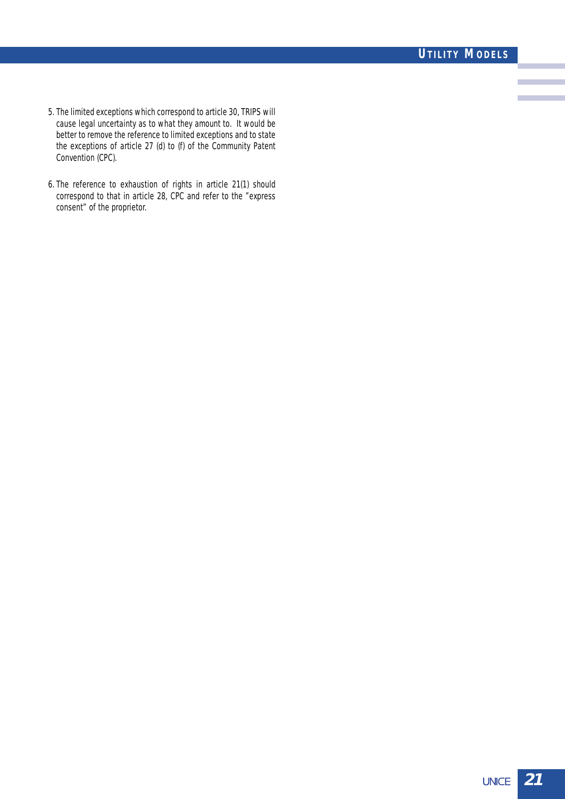- 5. The limited exceptions which correspond to article 30, TRIPS will cause legal uncertainty as to what they amount to. It would be better to remove the reference to limited exceptions and to state the exceptions of article 27 (d) to (f) of the Community Patent Convention (CPC).
- 6. The reference to exhaustion of rights in article 21(1) should correspond to that in article 28, CPC and refer to the "express consent" of the proprietor.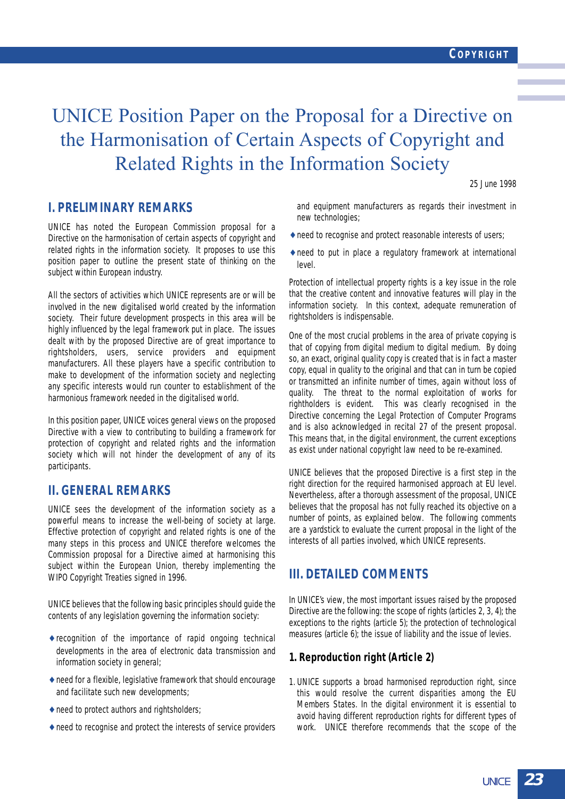## UNICE Position Paper on the Proposal for a Directive on the Harmonisation of Certain Aspects of Copyright and Related Rights in the Information Society

25 June 1998

## **I. PRELIMINARY REMARKS**

UNICE has noted the European Commission proposal for a Directive on the harmonisation of certain aspects of copyright and related rights in the information society. It proposes to use this position paper to outline the present state of thinking on the subject within European industry.

All the sectors of activities which UNICE represents are or will be involved in the new digitalised world created by the information society. Their future development prospects in this area will be highly influenced by the legal framework put in place. The issues dealt with by the proposed Directive are of great importance to rightsholders, users, service providers and equipment manufacturers. All these players have a specific contribution to make to development of the information society and neglecting any specific interests would run counter to establishment of the harmonious framework needed in the digitalised world.

In this position paper, UNICE voices general views on the proposed Directive with a view to contributing to building a framework for protection of copyright and related rights and the information society which will not hinder the development of any of its participants.

### **II. GENERAL REMARKS**

UNICE sees the development of the information society as a powerful means to increase the well-being of society at large. Effective protection of copyright and related rights is one of the many steps in this process and UNICE therefore welcomes the Commission proposal for a Directive aimed at harmonising this subject within the European Union, thereby implementing the WIPO Copyright Treaties signed in 1996.

UNICE believes that the following basic principles should guide the contents of any legislation governing the information society:

- ♦ recognition of the importance of rapid ongoing technical developments in the area of electronic data transmission and information society in general;
- ♦ need for a flexible, legislative framework that should encourage and facilitate such new developments;
- $\triangle$  need to protect authors and rightsholders;
- ♦ need to recognise and protect the interests of service providers

and equipment manufacturers as regards their investment in new technologies;

- ♦ need to recognise and protect reasonable interests of users;
- ♦ need to put in place a regulatory framework at international level.

Protection of intellectual property rights is a key issue in the role that the creative content and innovative features will play in the information society. In this context, adequate remuneration of rightsholders is indispensable.

One of the most crucial problems in the area of private copying is that of copying from digital medium to digital medium. By doing so, an exact, original quality copy is created that is in fact a master copy, equal in quality to the original and that can in turn be copied or transmitted an infinite number of times, again without loss of quality. The threat to the normal exploitation of works for rightholders is evident. This was clearly recognised in the Directive concerning the Legal Protection of Computer Programs and is also acknowledged in recital 27 of the present proposal. This means that, in the digital environment, the current exceptions as exist under national copyright law need to be re-examined.

UNICE believes that the proposed Directive is a first step in the right direction for the required harmonised approach at EU level. Nevertheless, after a thorough assessment of the proposal, UNICE believes that the proposal has not fully reached its objective on a number of points, as explained below. The following comments are a yardstick to evaluate the current proposal in the light of the interests of all parties involved, which UNICE represents.

### **III. DETAILED COMMENTS**

In UNICE's view, the most important issues raised by the proposed Directive are the following: the scope of rights (articles 2, 3, 4); the exceptions to the rights (article 5); the protection of technological measures (article 6); the issue of liability and the issue of levies.

#### **1. Reproduction right (Article 2)**

1. UNICE supports a broad harmonised reproduction right, since this would resolve the current disparities among the EU Members States. In the digital environment it is essential to avoid having different reproduction rights for different types of work. UNICE therefore recommends that the scope of the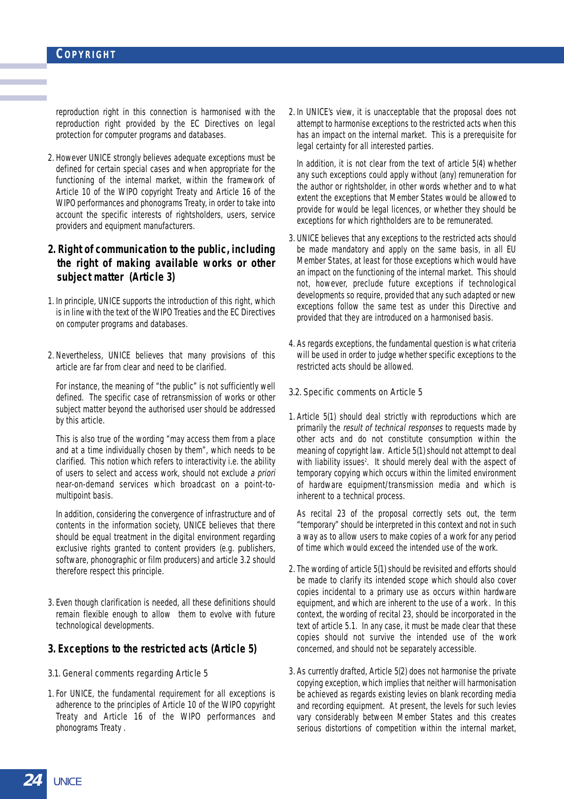reproduction right in this connection is harmonised with the reproduction right provided by the EC Directives on legal protection for computer programs and databases.

2. However UNICE strongly believes adequate exceptions must be defined for certain special cases and when appropriate for the functioning of the internal market, within the framework of Article 10 of the WIPO copyright Treaty and Article 16 of the WIPO performances and phonograms Treaty, in order to take into account the specific interests of rightsholders, users, service providers and equipment manufacturers.

#### **2. Right of communication to the public, including the right of making available works or other subject matter (Article 3)**

- 1. In principle, UNICE supports the introduction of this right, which is in line with the text of the WIPO Treaties and the EC Directives on computer programs and databases.
- 2. Nevertheless, UNICE believes that many provisions of this article are far from clear and need to be clarified.

For instance, the meaning of "the public" is not sufficiently well defined. The specific case of retransmission of works or other subject matter beyond the authorised user should be addressed by this article.

This is also true of the wording "may access them from a place and at a time individually chosen by them", which needs to be clarified. This notion which refers to interactivity i.e. the ability of users to select and access work, should not exclude a priori near-on-demand services which broadcast on a point-tomultipoint basis.

In addition, considering the convergence of infrastructure and of contents in the information society, UNICE believes that there should be equal treatment in the digital environment regarding exclusive rights granted to content providers (e.g. publishers, software, phonographic or film producers) and article 3.2 should therefore respect this principle.

3. Even though clarification is needed, all these definitions should remain flexible enough to allow them to evolve with future technological developments.

#### **3. Exceptions to the restricted acts (Article 5)**

- 3.1. General comments regarding Article 5
- 1. For UNICE, the fundamental requirement for all exceptions is adherence to the principles of Article 10 of the WIPO copyright Treaty and Article 16 of the WIPO performances and phonograms Treaty .

2. In UNICE's view, it is unacceptable that the proposal does not attempt to harmonise exceptions to the restricted acts when this has an impact on the internal market. This is a prerequisite for legal certainty for all interested parties.

In addition, it is not clear from the text of article 5(4) whether any such exceptions could apply without (any) remuneration for the author or rightsholder, in other words whether and to what extent the exceptions that Member States would be allowed to provide for would be legal licences, or whether they should be exceptions for which rightholders are to be remunerated.

- 3. UNICE believes that any exceptions to the restricted acts should be made mandatory and apply on the same basis, in all EU Member States, at least for those exceptions which would have an impact on the functioning of the internal market. This should not, however, preclude future exceptions if technological developments so require, provided that any such adapted or new exceptions follow the same test as under this Directive and provided that they are introduced on a harmonised basis.
- 4. As regards exceptions, the fundamental question is what criteria will be used in order to judge whether specific exceptions to the restricted acts should be allowed.

#### 3.2. Specific comments on Article 5

1. Article 5(1) should deal strictly with reproductions which are primarily the result of technical responses to requests made by other acts and do not constitute consumption within the meaning of copyright law. Article 5(1) should not attempt to deal with liability issues<sup>2</sup>. It should merely deal with the aspect of temporary copying which occurs within the limited environment of hardware equipment/transmission media and which is inherent to a technical process.

As recital 23 of the proposal correctly sets out, the term "temporary" should be interpreted in this context and not in such a way as to allow users to make copies of a work for any period of time which would exceed the intended use of the work.

- 2. The wording of article 5(1) should be revisited and efforts should be made to clarify its intended scope which should also cover copies incidental to a primary use as occurs within hardware equipment, and which are inherent to the use of a work . In this context, the wording of recital 23, should be incorporated in the text of article 5.1. In any case, it must be made clear that these copies should not survive the intended use of the work concerned, and should not be separately accessible.
- 3. As currently drafted, Article 5(2) does not harmonise the private copying exception, which implies that neither will harmonisation be achieved as regards existing levies on blank recording media and recording equipment. At present, the levels for such levies vary considerably between Member States and this creates serious distortions of competition within the internal market,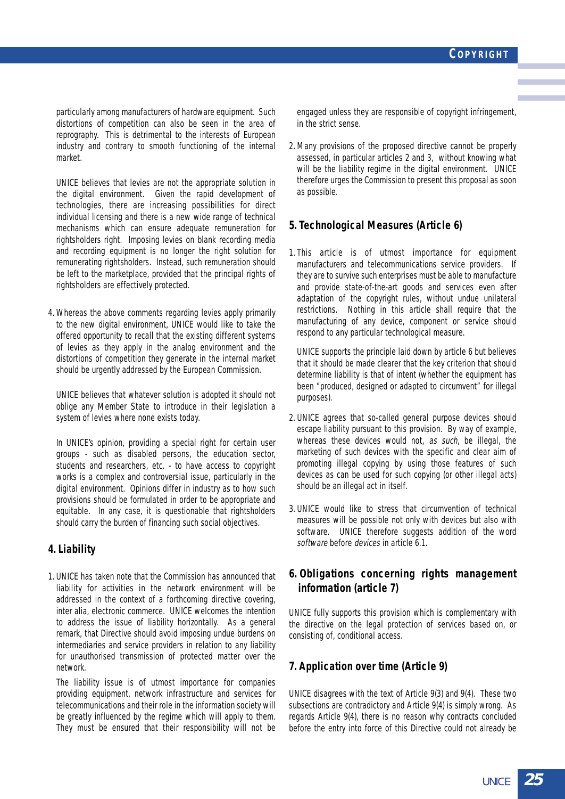particularly among manufacturers of hardware equipment. Such distortions of competition can also be seen in the area of reprography. This is detrimental to the interests of European industry and contrary to smooth functioning of the internal market.

UNICE believes that levies are not the appropriate solution in the digital environment. Given the rapid development of technologies, there are increasing possibilities for direct individual licensing and there is a new wide range of technical mechanisms which can ensure adequate remuneration for rightsholders right. Imposing levies on blank recording media and recording equipment is no longer the right solution for remunerating rightsholders. Instead, such remuneration should be left to the marketplace, provided that the principal rights of rightsholders are effectively protected.

4. Whereas the above comments regarding levies apply primarily to the new digital environment, UNICE would like to take the offered opportunity to recall that the existing different systems of levies as they apply in the analog environment and the distortions of competition they generate in the internal market should be urgently addressed by the European Commission.

UNICE believes that whatever solution is adopted it should not oblige any Member State to introduce in their legislation a system of levies where none exists today.

In UNICE's opinion, providing a special right for certain user groups - such as disabled persons, the education sector, students and researchers, etc. - to have access to copyright works is a complex and controversial issue, particularly in the digital environment. Opinions differ in industry as to how such provisions should be formulated in order to be appropriate and equitable. In any case, it is questionable that rightsholders should carry the burden of financing such social objectives.

#### **4. Liability**

1. UNICE has taken note that the Commission has announced that liability for activities in the network environment will be addressed in the context of a forthcoming directive covering, inter alia, electronic commerce. UNICE welcomes the intention to address the issue of liability horizontally. As a general remark, that Directive should avoid imposing undue burdens on intermediaries and service providers in relation to any liability for unauthorised transmission of protected matter over the network.

The liability issue is of utmost importance for companies providing equipment, network infrastructure and services for telecommunications and their role in the information society will be greatly influenced by the regime which will apply to them. They must be ensured that their responsibility will not be

engaged unless they are responsible of copyright infringement, in the strict sense.

2. Many provisions of the proposed directive cannot be properly assessed, in particular articles 2 and 3, without knowing what will be the liability regime in the digital environment. UNICE therefore urges the Commission to present this proposal as soon as possible.

#### **5. Technological Measures (Article 6)**

1. This article is of utmost importance for equipment manufacturers and telecommunications service providers. If they are to survive such enterprises must be able to manufacture and provide state-of-the-art goods and services even after adaptation of the copyright rules, without undue unilateral restrictions. Nothing in this article shall require that the manufacturing of any device, component or service should respond to any particular technological measure.

UNICE supports the principle laid down by article 6 but believes that it should be made clearer that the key criterion that should determine liability is that of intent (whether the equipment has been "produced, designed or adapted to circumvent" for illegal purposes).

- 2. UNICE agrees that so-called general purpose devices should escape liability pursuant to this provision. By way of example, whereas these devices would not, as such, be illegal, the marketing of such devices with the specific and clear aim of promoting illegal copying by using those features of such devices as can be used for such copying (or other illegal acts) should be an illegal act in itself.
- 3. UNICE would like to stress that circumvention of technical measures will be possible not only with devices but also with software. UNICE therefore suggests addition of the word software before devices in article 6.1.

### **6. Obligations concerning rights management information (article 7)**

UNICE fully supports this provision which is complementary with the directive on the legal protection of services based on, or consisting of, conditional access.

### **7. Application over time (Article 9)**

UNICE disagrees with the text of Article 9(3) and 9(4). These two subsections are contradictory and Article 9(4) is simply wrong. As regards Article 9(4), there is no reason why contracts concluded before the entry into force of this Directive could not already be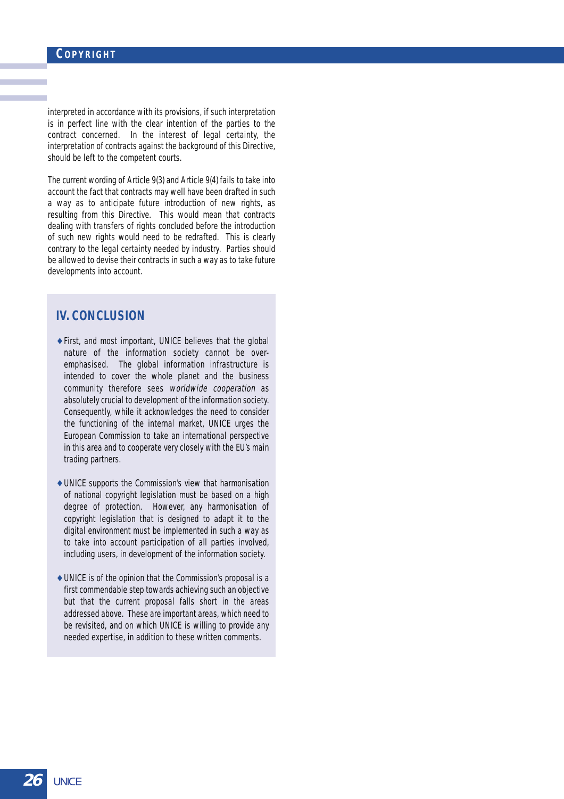interpreted in accordance with its provisions, if such interpretation is in perfect line with the clear intention of the parties to the contract concerned. In the interest of legal certainty, the interpretation of contracts against the background of this Directive, should be left to the competent courts.

The current wording of Article 9(3) and Article 9(4) fails to take into account the fact that contracts may well have been drafted in such a way as to anticipate future introduction of new rights, as resulting from this Directive. This would mean that contracts dealing with transfers of rights concluded before the introduction of such new rights would need to be redrafted. This is clearly contrary to the legal certainty needed by industry. Parties should be allowed to devise their contracts in such a way as to take future developments into account.

### **IV. CONCLUSION**

- ♦ First, and most important, UNICE believes that the global nature of the information society cannot be overemphasised. The global information infrastructure is intended to cover the whole planet and the business community therefore sees worldwide cooperation as absolutely crucial to development of the information society. Consequently, while it acknowledges the need to consider the functioning of the internal market, UNICE urges the European Commission to take an international perspective in this area and to cooperate very closely with the EU's main trading partners.
- ♦ UNICE supports the Commission's view that harmonisation of national copyright legislation must be based on a high degree of protection. However, any harmonisation of copyright legislation that is designed to adapt it to the digital environment must be implemented in such a way as to take into account participation of all parties involved, including users, in development of the information society.
- $\triangle$  UNICE is of the opinion that the Commission's proposal is a first commendable step towards achieving such an objective but that the current proposal falls short in the areas addressed above. These are important areas, which need to be revisited, and on which UNICE is willing to provide any needed expertise, in addition to these written comments.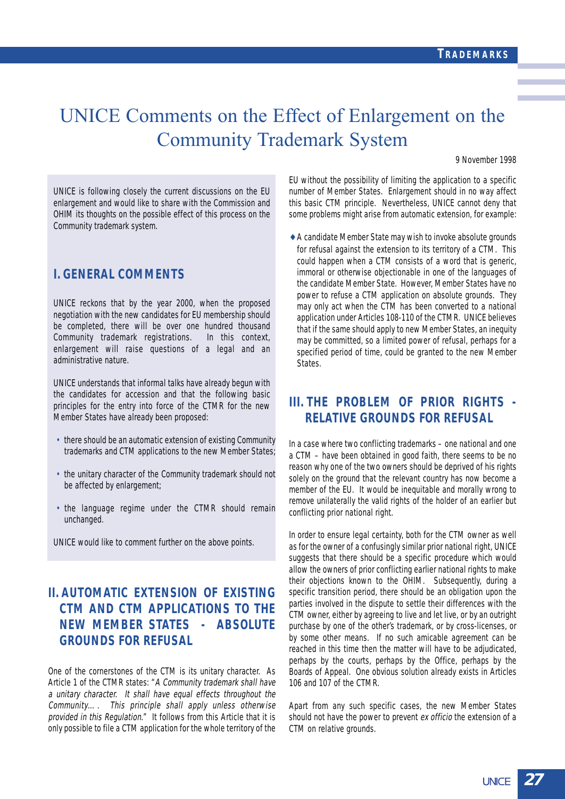## UNICE Comments on the Effect of Enlargement on the Community Trademark System

9 November 1998

UNICE is following closely the current discussions on the EU enlargement and would like to share with the Commission and OHIM its thoughts on the possible effect of this process on the Community trademark system.

## **I. GENERAL COMMENTS**

UNICE reckons that by the year 2000, when the proposed negotiation with the new candidates for EU membership should be completed, there will be over one hundred thousand Community trademark registrations. In this context, enlargement will raise questions of a legal and an administrative nature.

UNICE understands that informal talks have already begun with the candidates for accession and that the following basic principles for the entry into force of the CTMR for the new Member States have already been proposed:

- there should be an automatic extension of existing Community trademarks and CTM applications to the new Member States;
- the unitary character of the Community trademark should not be affected by enlargement;
- the language regime under the CTMR should remain unchanged.

UNICE would like to comment further on the above points.

## **II. AUTOMATIC EXTENSION OF EXISTING CTM AND CTM APPLICATIONS TO THE NEW MEMBER STATES - ABSOLUTE GROUNDS FOR REFUSAL**

One of the cornerstones of the CTM is its unitary character. As Article 1 of the CTMR states: "A Community trademark shall have a unitary character. It shall have equal effects throughout the Community…. This principle shall apply unless otherwise provided in this Regulation." It follows from this Article that it is only possible to file a CTM application for the whole territory of the EU without the possibility of limiting the application to a specific number of Member States. Enlargement should in no way affect this basic CTM principle. Nevertheless, UNICE cannot deny that some problems might arise from automatic extension, for example:

♦ A candidate Member State may wish to invoke absolute grounds for refusal against the extension to its territory of a CTM. This could happen when a CTM consists of a word that is generic, immoral or otherwise objectionable in one of the languages of the candidate Member State. However, Member States have no power to refuse a CTM application on absolute grounds. They may only act when the CTM has been converted to a national application under Articles 108-110 of the CTMR. UNICE believes that if the same should apply to new Member States, an inequity may be committed, so a limited power of refusal, perhaps for a specified period of time, could be granted to the new Member States.

## **III. THE PROBLEM OF PRIOR RIGHTS - RELATIVE GROUNDS FOR REFUSAL**

In a case where two conflicting trademarks – one national and one a CTM – have been obtained in good faith, there seems to be no reason why one of the two owners should be deprived of his rights solely on the ground that the relevant country has now become a member of the EU. It would be inequitable and morally wrong to remove unilaterally the valid rights of the holder of an earlier but conflicting prior national right.

In order to ensure legal certainty, both for the CTM owner as well as for the owner of a confusingly similar prior national right, UNICE suggests that there should be a specific procedure which would allow the owners of prior conflicting earlier national rights to make their objections known to the OHIM. Subsequently, during a specific transition period, there should be an obligation upon the parties involved in the dispute to settle their differences with the CTM owner, either by agreeing to live and let live, or by an outright purchase by one of the other's trademark, or by cross-licenses, or by some other means. If no such amicable agreement can be reached in this time then the matter will have to be adjudicated, perhaps by the courts, perhaps by the Office, perhaps by the Boards of Appeal. One obvious solution already exists in Articles 106 and 107 of the CTMR.

Apart from any such specific cases, the new Member States should not have the power to prevent ex officio the extension of a CTM on relative grounds.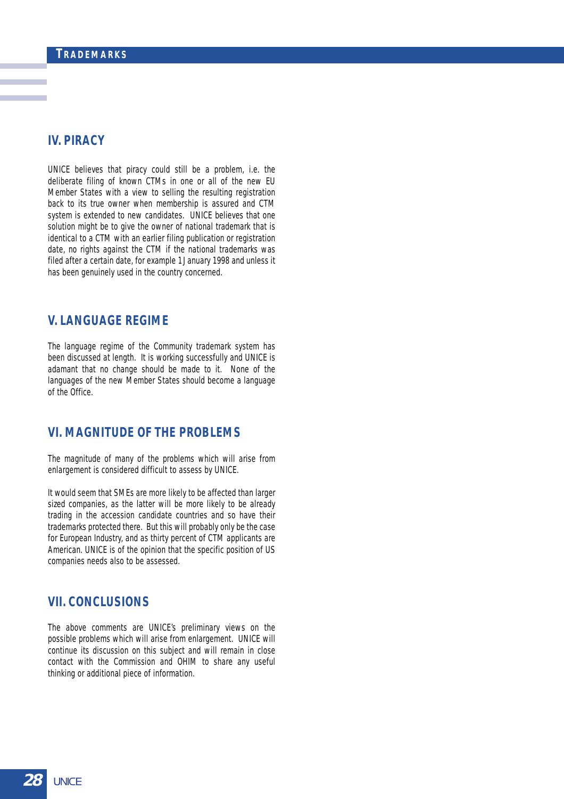## **IV. PIRACY**

UNICE believes that piracy could still be a problem, i.e. the deliberate filing of known CTMs in one or all of the new EU Member States with a view to selling the resulting registration back to its true owner when membership is assured and CTM system is extended to new candidates. UNICE believes that one solution might be to give the owner of national trademark that is identical to a CTM with an earlier filing publication or registration date, no rights against the CTM if the national trademarks was filed after a certain date, for example 1 January 1998 and unless it has been genuinely used in the country concerned.

### **V. LANGUAGE REGIME**

The language regime of the Community trademark system has been discussed at length. It is working successfully and UNICE is adamant that no change should be made to it. None of the languages of the new Member States should become a language of the Office.

## **VI. MAGNITUDE OF THE PROBLEMS**

The magnitude of many of the problems which will arise from enlargement is considered difficult to assess by UNICE.

It would seem that SMEs are more likely to be affected than larger sized companies, as the latter will be more likely to be already trading in the accession candidate countries and so have their trademarks protected there. But this will probably only be the case for European Industry, and as thirty percent of CTM applicants are American. UNICE is of the opinion that the specific position of US companies needs also to be assessed.

## **VII. CONCLUSIONS**

The above comments are UNICE's preliminary views on the possible problems which will arise from enlargement. UNICE will continue its discussion on this subject and will remain in close contact with the Commission and OHIM to share any useful thinking or additional piece of information.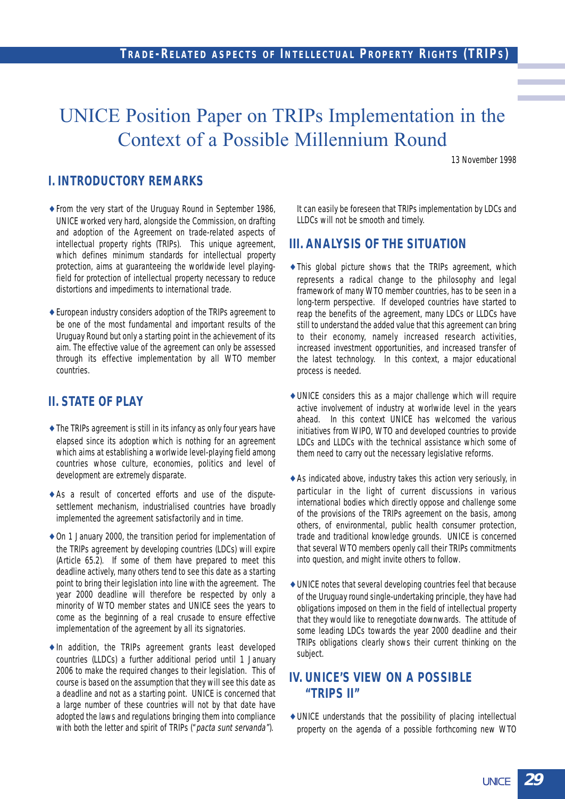## UNICE Position Paper on TRIPs Implementation in the Context of a Possible Millennium Round

13 November 1998

## **I. INTRODUCTORY REMARKS**

- ♦ From the very start of the Uruguay Round in September 1986, UNICE worked very hard, alongside the Commission, on drafting and adoption of the Agreement on trade-related aspects of intellectual property rights (TRIPs). This unique agreement, which defines minimum standards for intellectual property protection, aims at guaranteeing the worldwide level playingfield for protection of intellectual property necessary to reduce distortions and impediments to international trade.
- ♦ European industry considers adoption of the TRIPs agreement to be one of the most fundamental and important results of the Uruguay Round but only a starting point in the achievement of its aim. The effective value of the agreement can only be assessed through its effective implementation by all WTO member countries.

## **II. STATE OF PLAY**

- $\triangle$  The TRIPs agreement is still in its infancy as only four years have elapsed since its adoption which is nothing for an agreement which aims at establishing a worlwide level-playing field among countries whose culture, economies, politics and level of development are extremely disparate.
- ♦ As a result of concerted efforts and use of the disputesettlement mechanism, industrialised countries have broadly implemented the agreement satisfactorily and in time.
- ♦ On 1 January 2000, the transition period for implementation of the TRIPs agreement by developing countries (LDCs) will expire (Article 65.2). If some of them have prepared to meet this deadline actively, many others tend to see this date as a starting point to bring their legislation into line with the agreement. The year 2000 deadline will therefore be respected by only a minority of WTO member states and UNICE sees the years to come as the beginning of a real crusade to ensure effective implementation of the agreement by all its signatories.
- ♦ In addition, the TRIPs agreement grants least developed countries (LLDCs) a further additional period until 1 January 2006 to make the required changes to their legislation. This of course is based on the assumption that they will see this date as a deadline and not as a starting point. UNICE is concerned that a large number of these countries will not by that date have adopted the laws and regulations bringing them into compliance with both the letter and spirit of TRIPs ("pacta sunt servanda").

It can easily be foreseen that TRIPs implementation by LDCs and LLDCs will not be smooth and timely.

### **III. ANALYSIS OF THE SITUATION**

- ♦ This global picture shows that the TRIPs agreement, which represents a radical change to the philosophy and legal framework of many WTO member countries, has to be seen in a long-term perspective. If developed countries have started to reap the benefits of the agreement, many LDCs or LLDCs have still to understand the added value that this agreement can bring to their economy, namely increased research activities, increased investment opportunities, and increased transfer of the latest technology. In this context, a major educational process is needed.
- ♦ UNICE considers this as a major challenge which will require active involvement of industry at worlwide level in the years ahead. In this context UNICE has welcomed the various initiatives from WIPO, WTO and developed countries to provide LDCs and LLDCs with the technical assistance which some of them need to carry out the necessary legislative reforms.
- $\triangle$  As indicated above, industry takes this action very seriously, in particular in the light of current discussions in various international bodies which directly oppose and challenge some of the provisions of the TRIPs agreement on the basis, among others, of environmental, public health consumer protection, trade and traditional knowledge grounds. UNICE is concerned that several WTO members openly call their TRIPs commitments into question, and might invite others to follow.
- ♦ UNICE notes that several developing countries feel that because of the Uruguay round single-undertaking principle, they have had obligations imposed on them in the field of intellectual property that they would like to renegotiate downwards. The attitude of some leading LDCs towards the year 2000 deadline and their TRIPs obligations clearly shows their current thinking on the subject.

## **IV. UNICE'S VIEW ON A POSSIBLE "TRIPS II"**

♦ UNICE understands that the possibility of placing intellectual property on the agenda of a possible forthcoming new WTO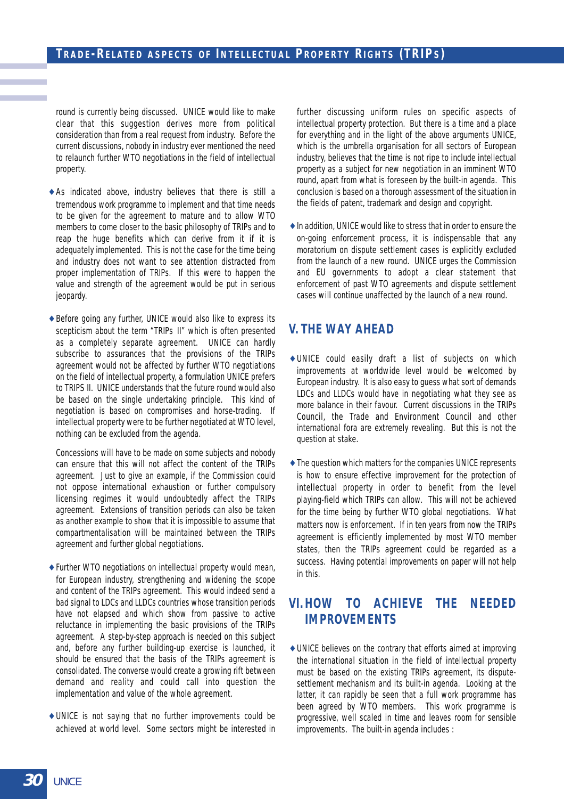### **TRADE-RELATED ASPECTS OF INTELLECTUAL PROPERTY RIGHTS (TRIPS)**

round is currently being discussed. UNICE would like to make clear that this suggestion derives more from political consideration than from a real request from industry. Before the current discussions, nobody in industry ever mentioned the need to relaunch further WTO negotiations in the field of intellectual property.

- ♦ As indicated above, industry believes that there is still a tremendous work programme to implement and that time needs to be given for the agreement to mature and to allow WTO members to come closer to the basic philosophy of TRIPs and to reap the huge benefits which can derive from it if it is adequately implemented. This is not the case for the time being and industry does not want to see attention distracted from proper implementation of TRIPs. If this were to happen the value and strength of the agreement would be put in serious jeopardy.
- ♦ Before going any further, UNICE would also like to express its scepticism about the term "TRIPs II" which is often presented as a completely separate agreement. UNICE can hardly subscribe to assurances that the provisions of the TRIPs agreement would not be affected by further WTO negotiations on the field of intellectual property, a formulation UNICE prefers to TRIPS II. UNICE understands that the future round would also be based on the single undertaking principle. This kind of negotiation is based on compromises and horse-trading. If intellectual property were to be further negotiated at WTO level, nothing can be excluded from the agenda.

Concessions will have to be made on some subjects and nobody can ensure that this will not affect the content of the TRIPs agreement. Just to give an example, if the Commission could not oppose international exhaustion or further compulsory licensing regimes it would undoubtedly affect the TRIPs agreement. Extensions of transition periods can also be taken as another example to show that it is impossible to assume that compartmentalisation will be maintained between the TRIPs agreement and further global negotiations.

- ♦ Further WTO negotiations on intellectual property would mean, for European industry, strengthening and widening the scope and content of the TRIPs agreement. This would indeed send a bad signal to LDCs and LLDCs countries whose transition periods have not elapsed and which show from passive to active reluctance in implementing the basic provisions of the TRIPs agreement. A step-by-step approach is needed on this subject and, before any further building-up exercise is launched, it should be ensured that the basis of the TRIPs agreement is consolidated. The converse would create a growing rift between demand and reality and could call into question the implementation and value of the whole agreement.
- ♦ UNICE is not saying that no further improvements could be achieved at world level. Some sectors might be interested in

further discussing uniform rules on specific aspects of intellectual property protection. But there is a time and a place for everything and in the light of the above arguments UNICE, which is the umbrella organisation for all sectors of European industry, believes that the time is not ripe to include intellectual property as a subject for new negotiation in an imminent WTO round, apart from what is foreseen by the built-in agenda. This conclusion is based on a thorough assessment of the situation in the fields of patent, trademark and design and copyright.

♦ In addition, UNICE would like to stress that in order to ensure the on-going enforcement process, it is indispensable that any moratorium on dispute settlement cases is explicitly excluded from the launch of a new round. UNICE urges the Commission and EU governments to adopt a clear statement that enforcement of past WTO agreements and dispute settlement cases will continue unaffected by the launch of a new round.

## **V. THE WAY AHEAD**

- ♦ UNICE could easily draft a list of subjects on which improvements at worldwide level would be welcomed by European industry. It is also easy to guess what sort of demands LDCs and LLDCs would have in negotiating what they see as more balance in their favour. Current discussions in the TRIPs Council, the Trade and Environment Council and other international fora are extremely revealing. But this is not the question at stake.
- ♦ The question which matters for the companies UNICE represents is how to ensure effective improvement for the protection of intellectual property in order to benefit from the level playing-field which TRIPs can allow. This will not be achieved for the time being by further WTO global negotiations. What matters now is enforcement. If in ten years from now the TRIPs agreement is efficiently implemented by most WTO member states, then the TRIPs agreement could be regarded as a success. Having potential improvements on paper will not help in this.

## **VI. HOW TO ACHIEVE THE NEEDED IMPROVEMENTS**

♦ UNICE believes on the contrary that efforts aimed at improving the international situation in the field of intellectual property must be based on the existing TRIPs agreement, its disputesettlement mechanism and its built-in agenda. Looking at the latter, it can rapidly be seen that a full work programme has been agreed by WTO members. This work programme is progressive, well scaled in time and leaves room for sensible improvements. The built-in agenda includes :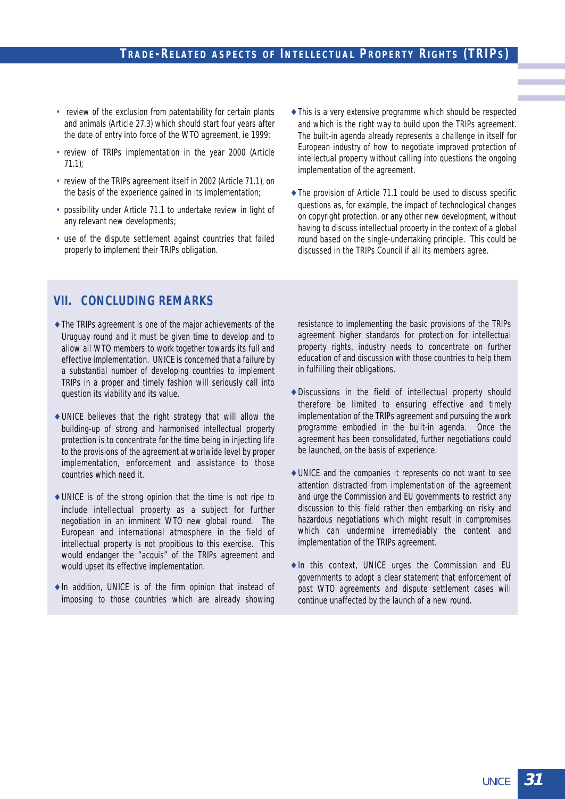- review of the exclusion from patentability for certain plants and animals (Article 27.3) which should start four years after the date of entry into force of the WTO agreement, ie 1999;
- review of TRIPs implementation in the year 2000 (Article 71.1);
- review of the TRIPs agreement itself in 2002 (Article 71.1), on the basis of the experience gained in its implementation;
- possibility under Article 71.1 to undertake review in light of any relevant new developments;
- use of the dispute settlement against countries that failed properly to implement their TRIPs obligation.
- ♦ This is a very extensive programme which should be respected and which is the right way to build upon the TRIPs agreement. The built-in agenda already represents a challenge in itself for European industry of how to negotiate improved protection of intellectual property without calling into questions the ongoing implementation of the agreement.
- ♦ The provision of Article 71.1 could be used to discuss specific questions as, for example, the impact of technological changes on copyright protection, or any other new development, without having to discuss intellectual property in the context of a global round based on the single-undertaking principle. This could be discussed in the TRIPs Council if all its members agree.

## **VII. CONCLUDING REMARKS**

- ♦ The TRIPs agreement is one of the major achievements of the Uruguay round and it must be given time to develop and to allow all WTO members to work together towards its full and effective implementation. UNICE is concerned that a failure by a substantial number of developing countries to implement TRIPs in a proper and timely fashion will seriously call into question its viability and its value.
- ♦ UNICE believes that the right strategy that will allow the building-up of strong and harmonised intellectual property protection is to concentrate for the time being in injecting life to the provisions of the agreement at worlwide level by proper implementation, enforcement and assistance to those countries which need it.
- ♦ UNICE is of the strong opinion that the time is not ripe to include intellectual property as a subject for further negotiation in an imminent WTO new global round. The European and international atmosphere in the field of intellectual property is not propitious to this exercise. This would endanger the "acquis" of the TRIPs agreement and would upset its effective implementation.
- ♦ In addition, UNICE is of the firm opinion that instead of imposing to those countries which are already showing

resistance to implementing the basic provisions of the TRIPs agreement higher standards for protection for intellectual property rights, industry needs to concentrate on further education of and discussion with those countries to help them in fulfilling their obligations.

- ♦ Discussions in the field of intellectual property should therefore be limited to ensuring effective and timely implementation of the TRIPs agreement and pursuing the work programme embodied in the built-in agenda. Once the agreement has been consolidated, further negotiations could be launched, on the basis of experience.
- ♦ UNICE and the companies it represents do not want to see attention distracted from implementation of the agreement and urge the Commission and EU governments to restrict any discussion to this field rather then embarking on risky and hazardous negotiations which might result in compromises which can undermine irremediably the content and implementation of the TRIPs agreement.
- ♦ In this context, UNICE urges the Commission and EU governments to adopt a clear statement that enforcement of past WTO agreements and dispute settlement cases will continue unaffected by the launch of a new round.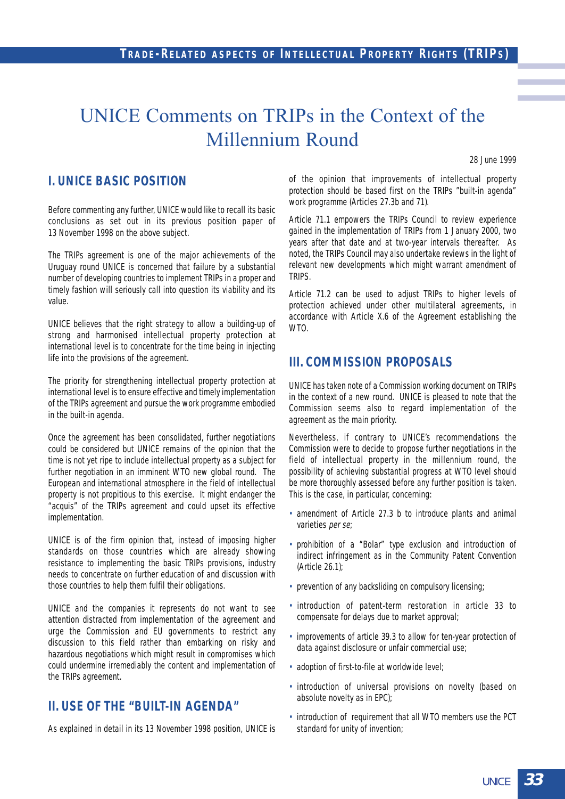## UNICE Comments on TRIPs in the Context of the Millennium Round

28 June 1999

## **I. UNICE BASIC POSITION**

Before commenting any further, UNICE would like to recall its basic conclusions as set out in its previous position paper of 13 November 1998 on the above subject.

The TRIPs agreement is one of the major achievements of the Uruguay round UNICE is concerned that failure by a substantial number of developing countries to implement TRIPs in a proper and timely fashion will seriously call into question its viability and its value.

UNICE believes that the right strategy to allow a building-up of strong and harmonised intellectual property protection at international level is to concentrate for the time being in injecting life into the provisions of the agreement.

The priority for strengthening intellectual property protection at international level is to ensure effective and timely implementation of the TRIPs agreement and pursue the work programme embodied in the built-in agenda.

Once the agreement has been consolidated, further negotiations could be considered but UNICE remains of the opinion that the time is not yet ripe to include intellectual property as a subject for further negotiation in an imminent WTO new global round. The European and international atmosphere in the field of intellectual property is not propitious to this exercise. It might endanger the "acquis" of the TRIPs agreement and could upset its effective implementation.

UNICE is of the firm opinion that, instead of imposing higher standards on those countries which are already showing resistance to implementing the basic TRIPs provisions, industry needs to concentrate on further education of and discussion with those countries to help them fulfil their obligations.

UNICE and the companies it represents do not want to see attention distracted from implementation of the agreement and urge the Commission and EU governments to restrict any discussion to this field rather than embarking on risky and hazardous negotiations which might result in compromises which could undermine irremediably the content and implementation of the TRIPs agreement.

## **II. USE OF THE "BUILT-IN AGENDA"**

As explained in detail in its 13 November 1998 position, UNICE is

of the opinion that improvements of intellectual property protection should be based first on the TRIPs "built-in agenda" work programme (Articles 27.3b and 71).

Article 71.1 empowers the TRIPs Council to review experience gained in the implementation of TRIPs from 1 January 2000, two years after that date and at two-year intervals thereafter. As noted, the TRIPs Council may also undertake reviews in the light of relevant new developments which might warrant amendment of TRIPS.

Article 71.2 can be used to adjust TRIPs to higher levels of protection achieved under other multilateral agreements, in accordance with Article X.6 of the Agreement establishing the WTO.

## **III. COMMISSION PROPOSALS**

UNICE has taken note of a Commission working document on TRIPs in the context of a new round. UNICE is pleased to note that the Commission seems also to regard implementation of the agreement as the main priority.

Nevertheless, if contrary to UNICE's recommendations the Commission were to decide to propose further negotiations in the field of intellectual property in the millennium round, the possibility of achieving substantial progress at WTO level should be more thoroughly assessed before any further position is taken. This is the case, in particular, concerning:

- amendment of Article 27.3 b to introduce plants and animal varieties per se;
- prohibition of a "Bolar" type exclusion and introduction of indirect infringement as in the Community Patent Convention (Article 26.1);
- prevention of any backsliding on compulsory licensing;
- introduction of patent-term restoration in article 33 to compensate for delays due to market approval;
- improvements of article 39.3 to allow for ten-year protection of data against disclosure or unfair commercial use;
- adoption of first-to-file at worldwide level;
- introduction of universal provisions on novelty (based on absolute novelty as in EPC);
- introduction of requirement that all WTO members use the PCT standard for unity of invention;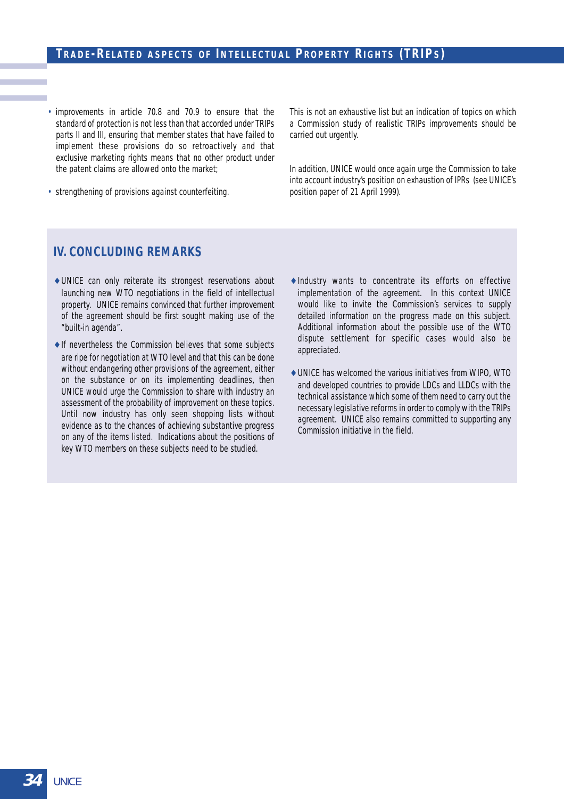## **TRADE-RELATED ASPECTS OF INTELLECTUAL PROPERTY RIGHTS (TRIPS)**

• improvements in article 70.8 and 70.9 to ensure that the standard of protection is not less than that accorded under TRIPs parts II and III, ensuring that member states that have failed to implement these provisions do so retroactively and that exclusive marketing rights means that no other product under the patent claims are allowed onto the market;

This is not an exhaustive list but an indication of topics on which a Commission study of realistic TRIPs improvements should be carried out urgently.

In addition, UNICE would once again urge the Commission to take into account industry's position on exhaustion of IPRs (see UNICE's position paper of 21 April 1999).

• strengthening of provisions against counterfeiting.

#### **IV. CONCLUDING REMARKS**

- ♦ UNICE can only reiterate its strongest reservations about launching new WTO negotiations in the field of intellectual property. UNICE remains convinced that further improvement of the agreement should be first sought making use of the "built-in agenda".
- $\triangle$  If nevertheless the Commission believes that some subjects are ripe for negotiation at WTO level and that this can be done without endangering other provisions of the agreement, either on the substance or on its implementing deadlines, then UNICE would urge the Commission to share with industry an assessment of the probability of improvement on these topics. Until now industry has only seen shopping lists without evidence as to the chances of achieving substantive progress on any of the items listed. Indications about the positions of key WTO members on these subjects need to be studied.
- ♦ Industry wants to concentrate its efforts on effective implementation of the agreement. In this context UNICE would like to invite the Commission's services to supply detailed information on the progress made on this subject. Additional information about the possible use of the WTO dispute settlement for specific cases would also be appreciated.
- ♦ UNICE has welcomed the various initiatives from WIPO, WTO and developed countries to provide LDCs and LLDCs with the technical assistance which some of them need to carry out the necessary legislative reforms in order to comply with the TRIPs agreement. UNICE also remains committed to supporting any Commission initiative in the field.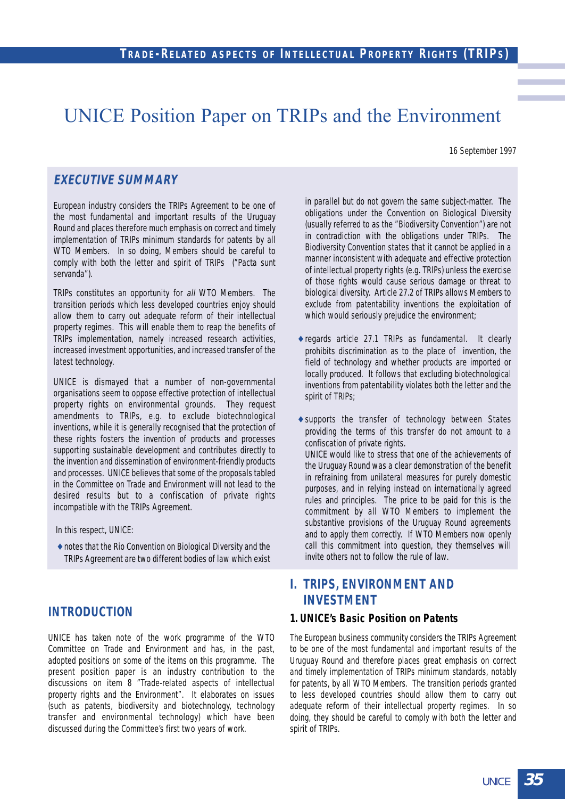## UNICE Position Paper on TRIPs and the Environment

16 September 1997

### **EXECUTIVE SUMMARY**

European industry considers the TRIPs Agreement to be one of the most fundamental and important results of the Uruguay Round and places therefore much emphasis on correct and timely implementation of TRIPs minimum standards for patents by all WTO Members. In so doing, Members should be careful to comply with both the letter and spirit of TRIPs ("Pacta sunt servanda").

TRIPs constitutes an opportunity for all WTO Members. The transition periods which less developed countries enjoy should allow them to carry out adequate reform of their intellectual property regimes. This will enable them to reap the benefits of TRIPs implementation, namely increased research activities, increased investment opportunities, and increased transfer of the latest technology.

UNICE is dismayed that a number of non-governmental organisations seem to oppose effective protection of intellectual property rights on environmental grounds. They request amendments to TRIPs, e.g. to exclude biotechnological inventions, while it is generally recognised that the protection of these rights fosters the invention of products and processes supporting sustainable development and contributes directly to the invention and dissemination of environment-friendly products and processes. UNICE believes that some of the proposals tabled in the Committee on Trade and Environment will not lead to the desired results but to a confiscation of private rights incompatible with the TRIPs Agreement.

In this respect, UNICE:

♦ notes that the Rio Convention on Biological Diversity and the TRIPs Agreement are two different bodies of law which exist

### **INTRODUCTION**

UNICE has taken note of the work programme of the WTO Committee on Trade and Environment and has, in the past, adopted positions on some of the items on this programme. The present position paper is an industry contribution to the discussions on item 8 "Trade-related aspects of intellectual property rights and the Environment". It elaborates on issues (such as patents, biodiversity and biotechnology, technology transfer and environmental technology) which have been discussed during the Committee's first two years of work.

in parallel but do not govern the same subject-matter. The obligations under the Convention on Biological Diversity (usually referred to as the "Biodiversity Convention") are not in contradiction with the obligations under TRIPs. The Biodiversity Convention states that it cannot be applied in a manner inconsistent with adequate and effective protection of intellectual property rights (e.g. TRIPs) unless the exercise of those rights would cause serious damage or threat to biological diversity. Article 27.2 of TRIPs allows Members to exclude from patentability inventions the exploitation of which would seriously prejudice the environment;

- ♦ regards article 27.1 TRIPs as fundamental. It clearly prohibits discrimination as to the place of invention, the field of technology and whether products are imported or locally produced. It follows that excluding biotechnological inventions from patentability violates both the letter and the spirit of TRIPs;
- ♦ supports the transfer of technology between States providing the terms of this transfer do not amount to a confiscation of private rights.

UNICE would like to stress that one of the achievements of the Uruguay Round was a clear demonstration of the benefit in refraining from unilateral measures for purely domestic purposes, and in relying instead on internationally agreed rules and principles. The price to be paid for this is the commitment by all WTO Members to implement the substantive provisions of the Uruguay Round agreements and to apply them correctly. If WTO Members now openly call this commitment into question, they themselves will invite others not to follow the rule of law.

## **I. TRIPS, ENVIRONMENT AND INVESTMENT**

#### **1. UNICE's Basic Position on Patents**

The European business community considers the TRIPs Agreement to be one of the most fundamental and important results of the Uruguay Round and therefore places great emphasis on correct and timely implementation of TRIPs minimum standards, notably for patents, by all WTO Members. The transition periods granted to less developed countries should allow them to carry out adequate reform of their intellectual property regimes. In so doing, they should be careful to comply with both the letter and spirit of TRIPs.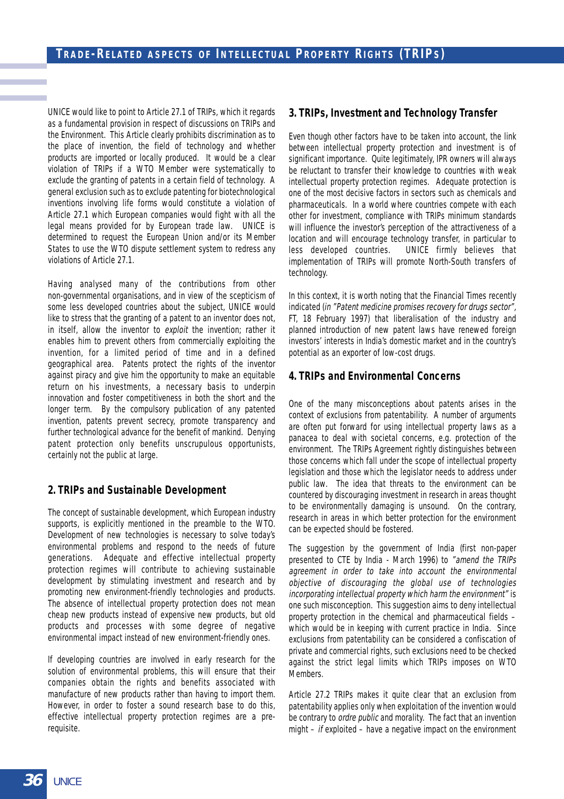UNICE would like to point to Article 27.1 of TRIPs, which it regards as a fundamental provision in respect of discussions on TRIPs and the Environment. This Article clearly prohibits discrimination as to the place of invention, the field of technology and whether products are imported or locally produced. It would be a clear violation of TRIPs if a WTO Member were systematically to exclude the granting of patents in a certain field of technology. A general exclusion such as to exclude patenting for biotechnological inventions involving life forms would constitute a violation of Article 27.1 which European companies would fight with all the legal means provided for by European trade law. UNICE is determined to request the European Union and/or its Member States to use the WTO dispute settlement system to redress any violations of Article 27.1.

Having analysed many of the contributions from other non-governmental organisations, and in view of the scepticism of some less developed countries about the subject, UNICE would like to stress that the granting of a patent to an inventor does not, in itself, allow the inventor to exploit the invention; rather it enables him to prevent others from commercially exploiting the invention, for a limited period of time and in a defined geographical area. Patents protect the rights of the inventor against piracy and give him the opportunity to make an equitable return on his investments, a necessary basis to underpin innovation and foster competitiveness in both the short and the longer term. By the compulsory publication of any patented invention, patents prevent secrecy, promote transparency and further technological advance for the benefit of mankind. Denying patent protection only benefits unscrupulous opportunists, certainly not the public at large.

#### **2. TRIPs and Sustainable Development**

The concept of sustainable development, which European industry supports, is explicitly mentioned in the preamble to the WTO. Development of new technologies is necessary to solve today's environmental problems and respond to the needs of future generations. Adequate and effective intellectual property protection regimes will contribute to achieving sustainable development by stimulating investment and research and by promoting new environment-friendly technologies and products. The absence of intellectual property protection does not mean cheap new products instead of expensive new products, but old products and processes with some degree of negative environmental impact instead of new environment-friendly ones.

If developing countries are involved in early research for the solution of environmental problems, this will ensure that their companies obtain the rights and benefits associated with manufacture of new products rather than having to import them. However, in order to foster a sound research base to do this, effective intellectual property protection regimes are a prerequisite.

#### **3. TRIPs, Investment and Technology Transfer**

Even though other factors have to be taken into account, the link between intellectual property protection and investment is of significant importance. Quite legitimately, IPR owners will always be reluctant to transfer their knowledge to countries with weak intellectual property protection regimes. Adequate protection is one of the most decisive factors in sectors such as chemicals and pharmaceuticals. In a world where countries compete with each other for investment, compliance with TRIPs minimum standards will influence the investor's perception of the attractiveness of a location and will encourage technology transfer, in particular to less developed countries. UNICE firmly believes that implementation of TRIPs will promote North-South transfers of technology.

In this context, it is worth noting that the Financial Times recently indicated (in "Patent medicine promises recovery for drugs sector", FT, 18 February 1997) that liberalisation of the industry and planned introduction of new patent laws have renewed foreign investors' interests in India's domestic market and in the country's potential as an exporter of low-cost drugs.

#### **4. TRIPs and Environmental Concerns**

One of the many misconceptions about patents arises in the context of exclusions from patentability. A number of arguments are often put forward for using intellectual property laws as a panacea to deal with societal concerns, e.g. protection of the environment. The TRIPs Agreement rightly distinguishes between those concerns which fall under the scope of intellectual property legislation and those which the legislator needs to address under public law. The idea that threats to the environment can be countered by discouraging investment in research in areas thought to be environmentally damaging is unsound. On the contrary, research in areas in which better protection for the environment can be expected should be fostered.

The suggestion by the government of India (first non-paper presented to CTE by India - March 1996) to "amend the TRIPs agreement in order to take into account the environmental objective of discouraging the global use of technologies incorporating intellectual property which harm the environment" is one such misconception. This suggestion aims to deny intellectual property protection in the chemical and pharmaceutical fields – which would be in keeping with current practice in India. Since exclusions from patentability can be considered a confiscation of private and commercial rights, such exclusions need to be checked against the strict legal limits which TRIPs imposes on WTO Members.

Article 27.2 TRIPs makes it quite clear that an exclusion from patentability applies only when exploitation of the invention would be contrary to *ordre public* and morality. The fact that an invention might  $-$  if exploited  $-$  have a negative impact on the environment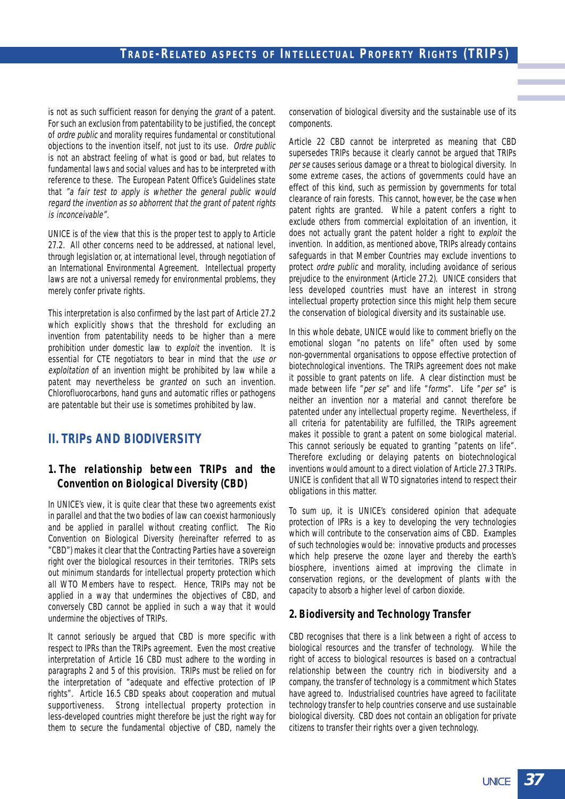is not as such sufficient reason for denying the grant of a patent. For such an exclusion from patentability to be justified, the concept of ordre public and morality requires fundamental or constitutional objections to the invention itself, not just to its use. Ordre public is not an abstract feeling of what is good or bad, but relates to fundamental laws and social values and has to be interpreted with reference to these. The European Patent Office's Guidelines state that "a fair test to apply is whether the general public would regard the invention as so abhorrent that the grant of patent rights is inconceivable".

UNICE is of the view that this is the proper test to apply to Article 27.2. All other concerns need to be addressed, at national level, through legislation or, at international level, through negotiation of an International Environmental Agreement. Intellectual property laws are not a universal remedy for environmental problems, they merely confer private rights.

This interpretation is also confirmed by the last part of Article 27.2 which explicitly shows that the threshold for excluding an invention from patentability needs to be higher than a mere prohibition under domestic law to exploit the invention. It is essential for CTE negotiators to bear in mind that the use or exploitation of an invention might be prohibited by law while a patent may nevertheless be *granted* on such an invention. Chlorofluorocarbons, hand guns and automatic rifles or pathogens are patentable but their use is sometimes prohibited by law.

## **II. TRIPs AND BIODIVERSITY**

### **1. The relationship between TRIPs and the Convention on Biological Diversity (CBD)**

In UNICE's view, it is quite clear that these two agreements exist in parallel and that the two bodies of law can coexist harmoniously and be applied in parallel without creating conflict. The Rio Convention on Biological Diversity (hereinafter referred to as "CBD") makes it clear that the Contracting Parties have a sovereign right over the biological resources in their territories. TRIPs sets out minimum standards for intellectual property protection which all WTO Members have to respect. Hence, TRIPs may not be applied in a way that undermines the objectives of CBD, and conversely CBD cannot be applied in such a way that it would undermine the objectives of TRIPs.

It cannot seriously be argued that CBD is more specific with respect to IPRs than the TRIPs agreement. Even the most creative interpretation of Article 16 CBD must adhere to the wording in paragraphs 2 and 5 of this provision. TRIPs must be relied on for the interpretation of "adequate and effective protection of IP rights". Article 16.5 CBD speaks about cooperation and mutual supportiveness. Strong intellectual property protection in less-developed countries might therefore be just the right way for them to secure the fundamental objective of CBD, namely the

conservation of biological diversity and the sustainable use of its components.

Article 22 CBD cannot be interpreted as meaning that CBD supersedes TRIPs because it clearly cannot be argued that TRIPs per se causes serious damage or a threat to biological diversity. In some extreme cases, the actions of governments could have an effect of this kind, such as permission by governments for total clearance of rain forests. This cannot, however, be the case when patent rights are granted. While a patent confers a right to exclude others from commercial exploitation of an invention, it does not actually grant the patent holder a right to exploit the invention. In addition, as mentioned above, TRIPs already contains safeguards in that Member Countries may exclude inventions to protect ordre public and morality, including avoidance of serious prejudice to the environment (Article 27.2). UNICE considers that less developed countries must have an interest in strong intellectual property protection since this might help them secure the conservation of biological diversity and its sustainable use.

In this whole debate, UNICE would like to comment briefly on the emotional slogan "no patents on life" often used by some non-governmental organisations to oppose effective protection of biotechnological inventions. The TRIPs agreement does not make it possible to grant patents on life. A clear distinction must be made between life "per se" and life "forms". Life "per se" is neither an invention nor a material and cannot therefore be patented under any intellectual property regime. Nevertheless, if all criteria for patentability are fulfilled, the TRIPs agreement makes it possible to grant a patent on some biological material. This cannot seriously be equated to granting "patents on life". Therefore excluding or delaying patents on biotechnological inventions would amount to a direct violation of Article 27.3 TRIPs. UNICE is confident that all WTO signatories intend to respect their obligations in this matter.

To sum up, it is UNICE's considered opinion that adequate protection of IPRs is a key to developing the very technologies which will contribute to the conservation aims of CBD. Examples of such technologies would be: innovative products and processes which help preserve the ozone layer and thereby the earth's biosphere, inventions aimed at improving the climate in conservation regions, or the development of plants with the capacity to absorb a higher level of carbon dioxide.

### **2. Biodiversity and Technology Transfer**

CBD recognises that there is a link between a right of access to biological resources and the transfer of technology. While the right of access to biological resources is based on a contractual relationship between the country rich in biodiversity and a company, the transfer of technology is a commitment which States have agreed to. Industrialised countries have agreed to facilitate technology transfer to help countries conserve and use sustainable biological diversity. CBD does not contain an obligation for private citizens to transfer their rights over a given technology.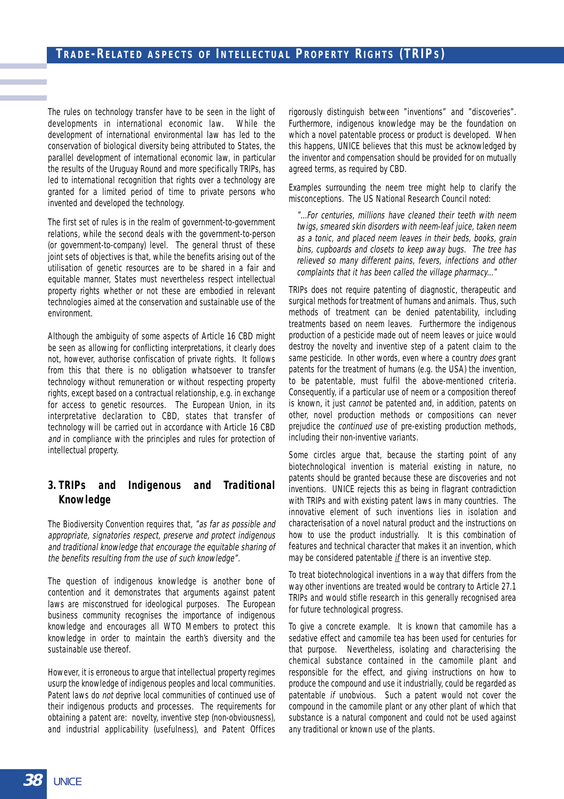The rules on technology transfer have to be seen in the light of developments in international economic law. While the development of international environmental law has led to the conservation of biological diversity being attributed to States, the parallel development of international economic law, in particular the results of the Uruguay Round and more specifically TRIPs, has led to international recognition that rights over a technology are granted for a limited period of time to private persons who invented and developed the technology.

The first set of rules is in the realm of government-to-government relations, while the second deals with the government-to-person (or government-to-company) level. The general thrust of these joint sets of objectives is that, while the benefits arising out of the utilisation of genetic resources are to be shared in a fair and equitable manner, States must nevertheless respect intellectual property rights whether or not these are embodied in relevant technologies aimed at the conservation and sustainable use of the environment.

Although the ambiguity of some aspects of Article 16 CBD might be seen as allowing for conflicting interpretations, it clearly does not, however, authorise confiscation of private rights. It follows from this that there is no obligation whatsoever to transfer technology without remuneration or without respecting property rights, except based on a contractual relationship, e.g. in exchange for access to genetic resources. The European Union, in its interpretative declaration to CBD, states that transfer of technology will be carried out in accordance with Article 16 CBD and in compliance with the principles and rules for protection of intellectual property.

### **3. TRIPs and Indigenous and Traditional Knowledge**

The Biodiversity Convention requires that, "as far as possible and appropriate, signatories respect, preserve and protect indigenous and traditional knowledge that encourage the equitable sharing of the benefits resulting from the use of such knowledge".

The question of indigenous knowledge is another bone of contention and it demonstrates that arguments against patent laws are misconstrued for ideological purposes. The European business community recognises the importance of indigenous knowledge and encourages all WTO Members to protect this knowledge in order to maintain the earth's diversity and the sustainable use thereof.

However, it is erroneous to argue that intellectual property regimes usurp the knowledge of indigenous peoples and local communities. Patent laws do *not* deprive local communities of continued use of their indigenous products and processes. The requirements for obtaining a patent are: novelty, inventive step (non-obviousness), and industrial applicability (usefulness), and Patent Offices rigorously distinguish between "inventions" and "discoveries". Furthermore, indigenous knowledge may be the foundation on which a novel patentable process or product is developed. When this happens, UNICE believes that this must be acknowledged by the inventor and compensation should be provided for on mutually agreed terms, as required by CBD.

Examples surrounding the neem tree might help to clarify the misconceptions. The US National Research Council noted:

"...For centuries, millions have cleaned their teeth with neem twigs, smeared skin disorders with neem-leaf juice, taken neem as a tonic, and placed neem leaves in their beds, books, grain bins, cupboards and closets to keep away bugs. The tree has relieved so many different pains, fevers, infections and other complaints that it has been called the village pharmacy..."

TRIPs does not require patenting of diagnostic, therapeutic and surgical methods for treatment of humans and animals. Thus, such methods of treatment can be denied patentability, including treatments based on neem leaves. Furthermore the indigenous production of a pesticide made out of neem leaves or juice would destroy the novelty and inventive step of a patent claim to the same pesticide. In other words, even where a country does grant patents for the treatment of humans (e.g. the USA) the invention, to be patentable, must fulfil the above-mentioned criteria. Consequently, if a particular use of neem or a composition thereof is known, it just *cannot* be patented and, in addition, patents on other, novel production methods or compositions can never prejudice the continued use of pre-existing production methods, including their non-inventive variants.

Some circles argue that, because the starting point of any biotechnological invention is material existing in nature, no patents should be granted because these are discoveries and not inventions. UNICE rejects this as being in flagrant contradiction with TRIPs and with existing patent laws in many countries. The innovative element of such inventions lies in isolation and characterisation of a novel natural product and the instructions on how to use the product industrially. It is this combination of features and technical character that makes it an invention, which may be considered patentable *if* there is an inventive step.

To treat biotechnological inventions in a way that differs from the way other inventions are treated would be contrary to Article 27.1 TRIPs and would stifle research in this generally recognised area for future technological progress.

To give a concrete example. It is known that camomile has a sedative effect and camomile tea has been used for centuries for that purpose. Nevertheless, isolating and characterising the chemical substance contained in the camomile plant and responsible for the effect, and giving instructions on how to produce the compound and use it industrially, could be regarded as patentable if unobvious. Such a patent would not cover the compound in the camomile plant or any other plant of which that substance is a natural component and could not be used against any traditional or known use of the plants.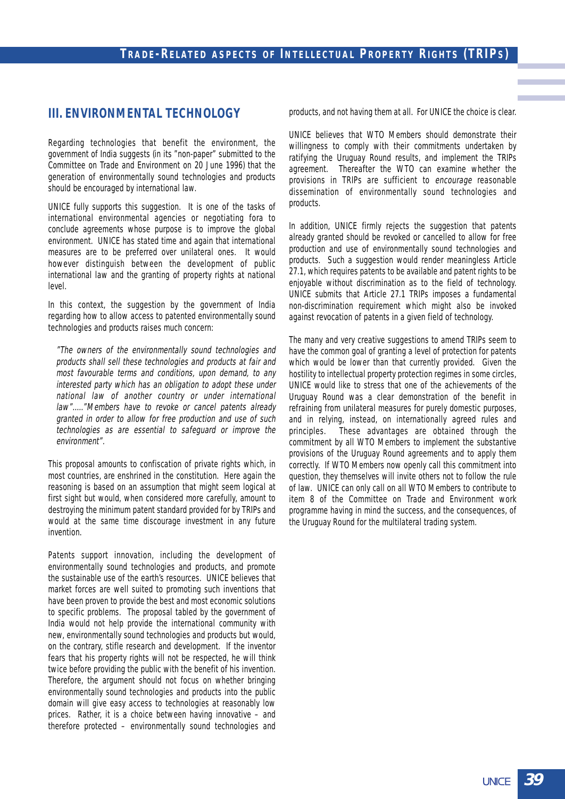## **III. ENVIRONMENTAL TECHNOLOGY**

Regarding technologies that benefit the environment, the government of India suggests (in its "non-paper" submitted to the Committee on Trade and Environment on 20 June 1996) that the generation of environmentally sound technologies and products should be encouraged by international law.

UNICE fully supports this suggestion. It is one of the tasks of international environmental agencies or negotiating fora to conclude agreements whose purpose is to improve the global environment. UNICE has stated time and again that international measures are to be preferred over unilateral ones. It would however distinguish between the development of public international law and the granting of property rights at national level.

In this context, the suggestion by the government of India regarding how to allow access to patented environmentally sound technologies and products raises much concern:

"The owners of the environmentally sound technologies and products shall sell these technologies and products at fair and most favourable terms and conditions, upon demand, to any interested party which has an obligation to adopt these under national law of another country or under international law"....."Members have to revoke or cancel patents already granted in order to allow for free production and use of such technologies as are essential to safeguard or improve the environment".

This proposal amounts to confiscation of private rights which, in most countries, are enshrined in the constitution. Here again the reasoning is based on an assumption that might seem logical at first sight but would, when considered more carefully, amount to destroying the minimum patent standard provided for by TRIPs and would at the same time discourage investment in any future invention.

Patents support innovation, including the development of environmentally sound technologies and products, and promote the sustainable use of the earth's resources. UNICE believes that market forces are well suited to promoting such inventions that have been proven to provide the best and most economic solutions to specific problems. The proposal tabled by the government of India would not help provide the international community with new, environmentally sound technologies and products but would, on the contrary, stifle research and development. If the inventor fears that his property rights will not be respected, he will think twice before providing the public with the benefit of his invention. Therefore, the argument should not focus on whether bringing environmentally sound technologies and products into the public domain will give easy access to technologies at reasonably low prices. Rather, it is a choice between having innovative – and therefore protected – environmentally sound technologies and products, and not having them at all. For UNICE the choice is clear.

UNICE believes that WTO Members should demonstrate their willingness to comply with their commitments undertaken by ratifying the Uruguay Round results, and implement the TRIPs agreement. Thereafter the WTO can examine whether the provisions in TRIPs are sufficient to encourage reasonable dissemination of environmentally sound technologies and products.

In addition, UNICE firmly rejects the suggestion that patents already granted should be revoked or cancelled to allow for free production and use of environmentally sound technologies and products. Such a suggestion would render meaningless Article 27.1, which requires patents to be available and patent rights to be enjoyable without discrimination as to the field of technology. UNICE submits that Article 27.1 TRIPs imposes a fundamental non-discrimination requirement which might also be invoked against revocation of patents in a given field of technology.

The many and very creative suggestions to amend TRIPs seem to have the common goal of granting a level of protection for patents which would be lower than that currently provided. Given the hostility to intellectual property protection regimes in some circles, UNICE would like to stress that one of the achievements of the Uruguay Round was a clear demonstration of the benefit in refraining from unilateral measures for purely domestic purposes, and in relying, instead, on internationally agreed rules and principles. These advantages are obtained through the commitment by all WTO Members to implement the substantive provisions of the Uruguay Round agreements and to apply them correctly. If WTO Members now openly call this commitment into question, they themselves will invite others not to follow the rule of law. UNICE can only call on all WTO Members to contribute to item 8 of the Committee on Trade and Environment work programme having in mind the success, and the consequences, of the Uruguay Round for the multilateral trading system.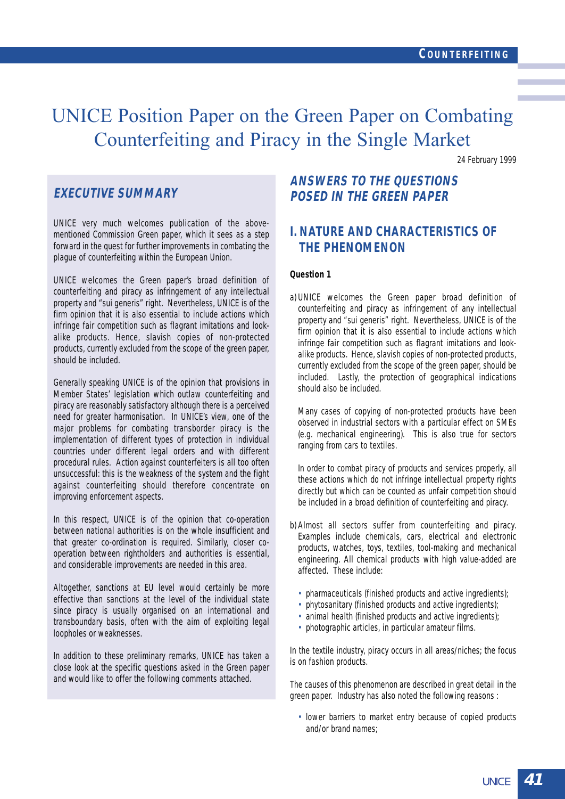## UNICE Position Paper on the Green Paper on Combating Counterfeiting and Piracy in the Single Market

24 February 1999

## **EXECUTIVE SUMMARY**

UNICE very much welcomes publication of the abovementioned Commission Green paper, which it sees as a step forward in the quest for further improvements in combating the plague of counterfeiting within the European Union.

UNICE welcomes the Green paper's broad definition of counterfeiting and piracy as infringement of any intellectual property and "sui generis" right. Nevertheless, UNICE is of the firm opinion that it is also essential to include actions which infringe fair competition such as flagrant imitations and lookalike products. Hence, slavish copies of non-protected products, currently excluded from the scope of the green paper, should be included.

Generally speaking UNICE is of the opinion that provisions in Member States' legislation which outlaw counterfeiting and piracy are reasonably satisfactory although there is a perceived need for greater harmonisation. In UNICE's view, one of the major problems for combating transborder piracy is the implementation of different types of protection in individual countries under different legal orders and with different procedural rules. Action against counterfeiters is all too often unsuccessful: this is the weakness of the system and the fight against counterfeiting should therefore concentrate on improving enforcement aspects.

In this respect, UNICE is of the opinion that co-operation between national authorities is on the whole insufficient and that greater co-ordination is required. Similarly, closer cooperation between rightholders and authorities is essential, and considerable improvements are needed in this area.

Altogether, sanctions at EU level would certainly be more effective than sanctions at the level of the individual state since piracy is usually organised on an international and transboundary basis, often with the aim of exploiting legal loopholes or weaknesses.

In addition to these preliminary remarks, UNICE has taken a close look at the specific questions asked in the Green paper and would like to offer the following comments attached.

## **ANSWERS TO THE QUESTIONS POSED IN THE GREEN PAPER**

## **I. NATURE AND CHARACTERISTICS OF THE PHENOMENON**

#### **Question 1**

a) UNICE welcomes the Green paper broad definition of counterfeiting and piracy as infringement of any intellectual property and "sui generis" right. Nevertheless, UNICE is of the firm opinion that it is also essential to include actions which infringe fair competition such as flagrant imitations and lookalike products. Hence, slavish copies of non-protected products, currently excluded from the scope of the green paper, should be included. Lastly, the protection of geographical indications should also be included.

Many cases of copying of non-protected products have been observed in industrial sectors with a particular effect on SMEs (e.g. mechanical engineering). This is also true for sectors ranging from cars to textiles.

In order to combat piracy of products and services properly, all these actions which do not infringe intellectual property rights directly but which can be counted as unfair competition should be included in a broad definition of counterfeiting and piracy.

- b) Almost all sectors suffer from counterfeiting and piracy. Examples include chemicals, cars, electrical and electronic products, watches, toys, textiles, tool-making and mechanical engineering. All chemical products with high value-added are affected. These include:
	- pharmaceuticals (finished products and active ingredients);
	- phytosanitary (finished products and active ingredients);
	- animal health (finished products and active ingredients);
	- photographic articles, in particular amateur films.

In the textile industry, piracy occurs in all areas/niches; the focus is on fashion products.

The causes of this phenomenon are described in great detail in the green paper. Industry has also noted the following reasons :

• lower barriers to market entry because of copied products and/or brand names;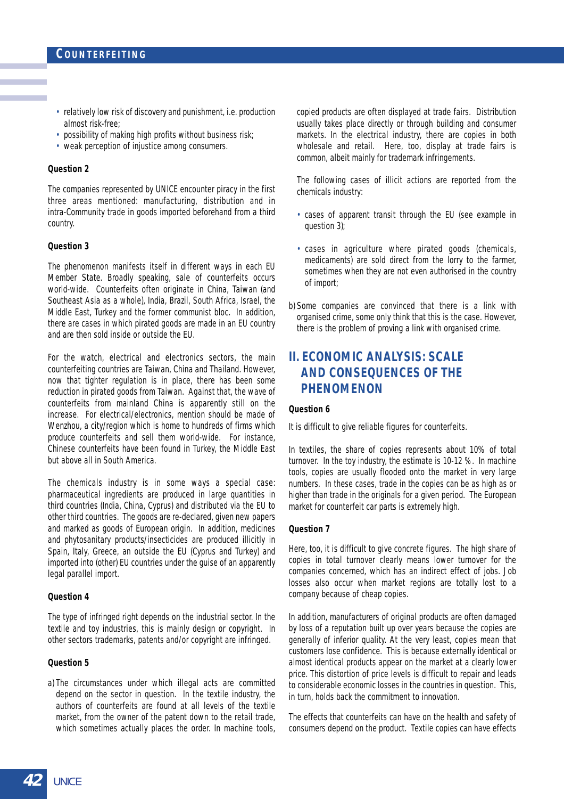- relatively low risk of discovery and punishment, i.e. production almost risk-free;
- possibility of making high profits without business risk;
- weak perception of injustice among consumers.

#### **Question 2**

The companies represented by UNICE encounter piracy in the first three areas mentioned: manufacturing, distribution and in intra-Community trade in goods imported beforehand from a third country.

#### **Question 3**

The phenomenon manifests itself in different ways in each EU Member State. Broadly speaking, sale of counterfeits occurs world-wide. Counterfeits often originate in China, Taiwan (and Southeast Asia as a whole), India, Brazil, South Africa, Israel, the Middle East, Turkey and the former communist bloc. In addition, there are cases in which pirated goods are made in an EU country and are then sold inside or outside the EU.

For the watch, electrical and electronics sectors, the main counterfeiting countries are Taiwan, China and Thailand. However, now that tighter regulation is in place, there has been some reduction in pirated goods from Taiwan. Against that, the wave of counterfeits from mainland China is apparently still on the increase. For electrical/electronics, mention should be made of Wenzhou, a city/region which is home to hundreds of firms which produce counterfeits and sell them world-wide. For instance, Chinese counterfeits have been found in Turkey, the Middle East but above all in South America.

The chemicals industry is in some ways a special case: pharmaceutical ingredients are produced in large quantities in third countries (India, China, Cyprus) and distributed via the EU to other third countries. The goods are re-declared, given new papers and marked as goods of European origin. In addition, medicines and phytosanitary products/insecticides are produced illicitly in Spain, Italy, Greece, an outside the EU (Cyprus and Turkey) and imported into (other) EU countries under the guise of an apparently legal parallel import.

#### **Question 4**

The type of infringed right depends on the industrial sector. In the textile and toy industries, this is mainly design or copyright. In other sectors trademarks, patents and/or copyright are infringed.

#### **Question 5**

a) The circumstances under which illegal acts are committed depend on the sector in question. In the textile industry, the authors of counterfeits are found at all levels of the textile market, from the owner of the patent down to the retail trade, which sometimes actually places the order. In machine tools, copied products are often displayed at trade fairs. Distribution usually takes place directly or through building and consumer markets. In the electrical industry, there are copies in both wholesale and retail. Here, too, display at trade fairs is common, albeit mainly for trademark infringements.

The following cases of illicit actions are reported from the chemicals industry:

- cases of apparent transit through the EU (see example in question 3);
- cases in agriculture where pirated goods (chemicals, medicaments) are sold direct from the lorry to the farmer, sometimes when they are not even authorised in the country of import;
- b) Some companies are convinced that there is a link with organised crime, some only think that this is the case. However, there is the problem of proving a link with organised crime.

## **II. ECONOMIC ANALYSIS: SCALE AND CONSEQUENCES OF THE PHENOMENON**

#### **Question 6**

It is difficult to give reliable figures for counterfeits.

In textiles, the share of copies represents about 10% of total turnover. In the toy industry, the estimate is 10-12 %. In machine tools, copies are usually flooded onto the market in very large numbers. In these cases, trade in the copies can be as high as or higher than trade in the originals for a given period. The European market for counterfeit car parts is extremely high.

#### **Question 7**

Here, too, it is difficult to give concrete figures. The high share of copies in total turnover clearly means lower turnover for the companies concerned, which has an indirect effect of jobs. Job losses also occur when market regions are totally lost to a company because of cheap copies.

In addition, manufacturers of original products are often damaged by loss of a reputation built up over years because the copies are generally of inferior quality. At the very least, copies mean that customers lose confidence. This is because externally identical or almost identical products appear on the market at a clearly lower price. This distortion of price levels is difficult to repair and leads to considerable economic losses in the countries in question. This, in turn, holds back the commitment to innovation.

The effects that counterfeits can have on the health and safety of consumers depend on the product. Textile copies can have effects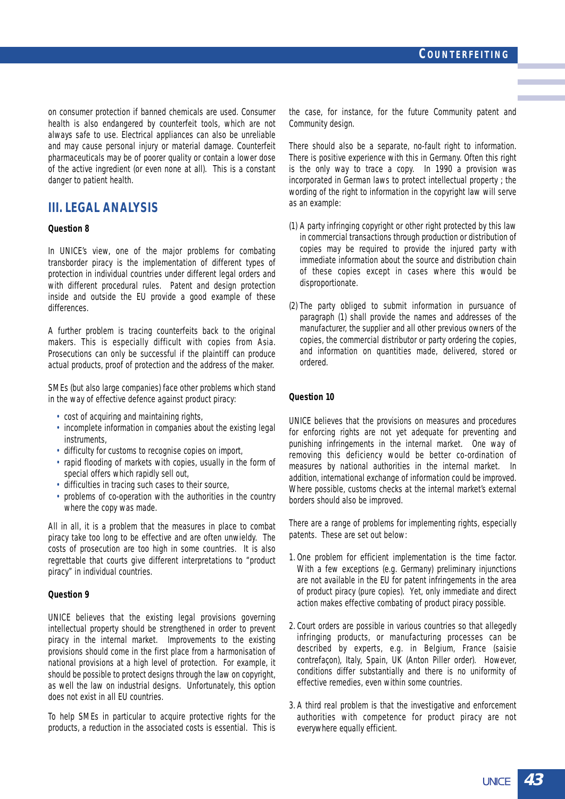on consumer protection if banned chemicals are used. Consumer health is also endangered by counterfeit tools, which are not always safe to use. Electrical appliances can also be unreliable and may cause personal injury or material damage. Counterfeit pharmaceuticals may be of poorer quality or contain a lower dose of the active ingredient (or even none at all). This is a constant danger to patient health.

## **III. LEGAL ANALYSIS**

#### **Question 8**

In UNICE's view, one of the major problems for combating transborder piracy is the implementation of different types of protection in individual countries under different legal orders and with different procedural rules. Patent and design protection inside and outside the EU provide a good example of these differences.

A further problem is tracing counterfeits back to the original makers. This is especially difficult with copies from Asia. Prosecutions can only be successful if the plaintiff can produce actual products, proof of protection and the address of the maker.

SMEs (but also large companies) face other problems which stand in the way of effective defence against product piracy:

- cost of acquiring and maintaining rights,
- incomplete information in companies about the existing legal instruments,
- difficulty for customs to recognise copies on import,
- rapid flooding of markets with copies, usually in the form of special offers which rapidly sell out,
- difficulties in tracing such cases to their source,
- problems of co-operation with the authorities in the country where the copy was made.

All in all, it is a problem that the measures in place to combat piracy take too long to be effective and are often unwieldy. The costs of prosecution are too high in some countries. It is also regrettable that courts give different interpretations to "product piracy" in individual countries.

#### **Question 9**

UNICE believes that the existing legal provisions governing intellectual property should be strengthened in order to prevent piracy in the internal market. Improvements to the existing provisions should come in the first place from a harmonisation of national provisions at a high level of protection. For example, it should be possible to protect designs through the law on copyright, as well the law on industrial designs. Unfortunately, this option does not exist in all EU countries.

To help SMEs in particular to acquire protective rights for the products, a reduction in the associated costs is essential. This is

the case, for instance, for the future Community patent and Community design.

There should also be a separate, no-fault right to information. There is positive experience with this in Germany. Often this right is the only way to trace a copy. In 1990 a provision was incorporated in German laws to protect intellectual property ; the wording of the right to information in the copyright law will serve as an example:

- (1) A party infringing copyright or other right protected by this law in commercial transactions through production or distribution of copies may be required to provide the injured party with immediate information about the source and distribution chain of these copies except in cases where this would be disproportionate.
- (2) The party obliged to submit information in pursuance of paragraph (1) shall provide the names and addresses of the manufacturer, the supplier and all other previous owners of the copies, the commercial distributor or party ordering the copies, and information on quantities made, delivered, stored or ordered.

#### **Question 10**

UNICE believes that the provisions on measures and procedures for enforcing rights are not yet adequate for preventing and punishing infringements in the internal market. One way of removing this deficiency would be better co-ordination of measures by national authorities in the internal market. In addition, international exchange of information could be improved. Where possible, customs checks at the internal market's external borders should also be improved.

There are a range of problems for implementing rights, especially patents. These are set out below:

- 1. One problem for efficient implementation is the time factor. With a few exceptions (e.g. Germany) preliminary injunctions are not available in the EU for patent infringements in the area of product piracy (pure copies). Yet, only immediate and direct action makes effective combating of product piracy possible.
- 2. Court orders are possible in various countries so that allegedly infringing products, or manufacturing processes can be described by experts, e.g. in Belgium, France (saisie contrefaçon), Italy, Spain, UK (Anton Piller order). However, conditions differ substantially and there is no uniformity of effective remedies, even within some countries.
- 3. A third real problem is that the investigative and enforcement authorities with competence for product piracy are not everywhere equally efficient.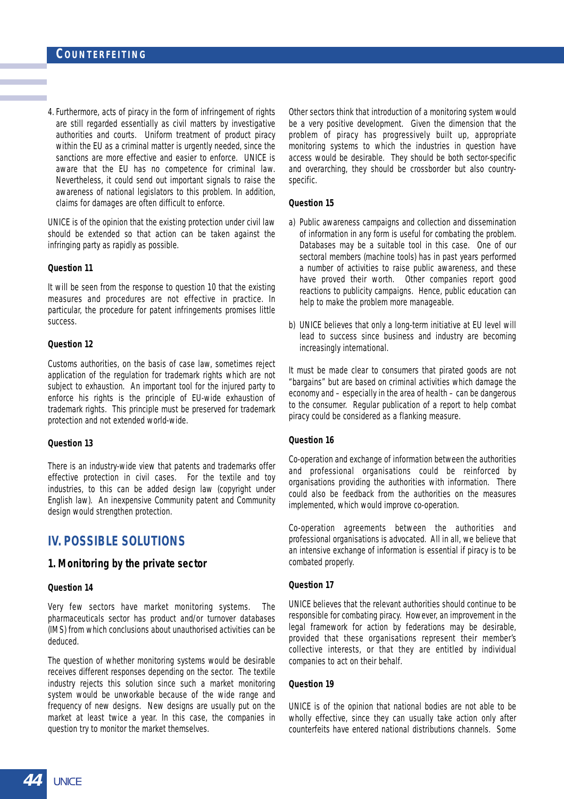4. Furthermore, acts of piracy in the form of infringement of rights are still regarded essentially as civil matters by investigative authorities and courts. Uniform treatment of product piracy within the EU as a criminal matter is urgently needed, since the sanctions are more effective and easier to enforce. UNICE is aware that the EU has no competence for criminal law. Nevertheless, it could send out important signals to raise the awareness of national legislators to this problem. In addition, claims for damages are often difficult to enforce.

UNICE is of the opinion that the existing protection under civil law should be extended so that action can be taken against the infringing party as rapidly as possible.

#### **Question 11**

It will be seen from the response to question 10 that the existing measures and procedures are not effective in practice. In particular, the procedure for patent infringements promises little success.

#### **Question 12**

Customs authorities, on the basis of case law, sometimes reject application of the regulation for trademark rights which are not subject to exhaustion. An important tool for the injured party to enforce his rights is the principle of EU-wide exhaustion of trademark rights. This principle must be preserved for trademark protection and not extended world-wide.

#### **Question 13**

There is an industry-wide view that patents and trademarks offer effective protection in civil cases. For the textile and toy industries, to this can be added design law (copyright under English law). An inexpensive Community patent and Community design would strengthen protection.

## **IV. POSSIBLE SOLUTIONS**

#### **1. Monitoring by the private sector**

#### **Question 14**

Very few sectors have market monitoring systems. The pharmaceuticals sector has product and/or turnover databases (IMS) from which conclusions about unauthorised activities can be deduced.

The question of whether monitoring systems would be desirable receives different responses depending on the sector. The textile industry rejects this solution since such a market monitoring system would be unworkable because of the wide range and frequency of new designs. New designs are usually put on the market at least twice a year. In this case, the companies in question try to monitor the market themselves.

Other sectors think that introduction of a monitoring system would be a very positive development. Given the dimension that the problem of piracy has progressively built up, appropriate monitoring systems to which the industries in question have access would be desirable. They should be both sector-specific and overarching, they should be crossborder but also countryspecific.

#### **Question 15**

- a) Public awareness campaigns and collection and dissemination of information in any form is useful for combating the problem. Databases may be a suitable tool in this case. One of our sectoral members (machine tools) has in past years performed a number of activities to raise public awareness, and these have proved their worth. Other companies report good reactions to publicity campaigns. Hence, public education can help to make the problem more manageable.
- b) UNICE believes that only a long-term initiative at EU level will lead to success since business and industry are becoming increasingly international.

It must be made clear to consumers that pirated goods are not "bargains" but are based on criminal activities which damage the economy and – especially in the area of health – can be dangerous to the consumer. Regular publication of a report to help combat piracy could be considered as a flanking measure.

#### **Question 16**

Co-operation and exchange of information between the authorities and professional organisations could be reinforced by organisations providing the authorities with information. There could also be feedback from the authorities on the measures implemented, which would improve co-operation.

Co-operation agreements between the authorities and professional organisations is advocated. All in all, we believe that an intensive exchange of information is essential if piracy is to be combated properly.

#### **Question 17**

UNICE believes that the relevant authorities should continue to be responsible for combating piracy. However, an improvement in the legal framework for action by federations may be desirable, provided that these organisations represent their member's collective interests, or that they are entitled by individual companies to act on their behalf.

#### **Question 19**

UNICE is of the opinion that national bodies are not able to be wholly effective, since they can usually take action only after counterfeits have entered national distributions channels. Some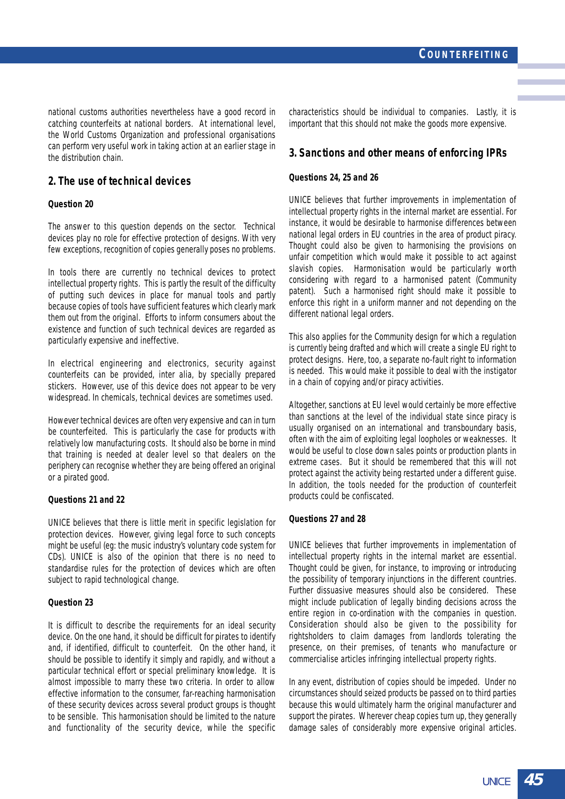national customs authorities nevertheless have a good record in catching counterfeits at national borders. At international level, the World Customs Organization and professional organisations can perform very useful work in taking action at an earlier stage in the distribution chain.

#### **2. The use of technical devices**

#### **Question 20**

The answer to this question depends on the sector. Technical devices play no role for effective protection of designs. With very few exceptions, recognition of copies generally poses no problems.

In tools there are currently no technical devices to protect intellectual property rights. This is partly the result of the difficulty of putting such devices in place for manual tools and partly because copies of tools have sufficient features which clearly mark them out from the original. Efforts to inform consumers about the existence and function of such technical devices are regarded as particularly expensive and ineffective.

In electrical engineering and electronics, security against counterfeits can be provided, inter alia, by specially prepared stickers. However, use of this device does not appear to be very widespread. In chemicals, technical devices are sometimes used.

However technical devices are often very expensive and can in turn be counterfeited. This is particularly the case for products with relatively low manufacturing costs. It should also be borne in mind that training is needed at dealer level so that dealers on the periphery can recognise whether they are being offered an original or a pirated good.

#### **Questions 21 and 22**

UNICE believes that there is little merit in specific legislation for protection devices. However, giving legal force to such concepts might be useful (eg: the music industry's voluntary code system for CDs). UNICE is also of the opinion that there is no need to standardise rules for the protection of devices which are often subject to rapid technological change.

#### **Question 23**

It is difficult to describe the requirements for an ideal security device. On the one hand, it should be difficult for pirates to identify and, if identified, difficult to counterfeit. On the other hand, it should be possible to identify it simply and rapidly, and without a particular technical effort or special preliminary knowledge. It is almost impossible to marry these two criteria. In order to allow effective information to the consumer, far-reaching harmonisation of these security devices across several product groups is thought to be sensible. This harmonisation should be limited to the nature and functionality of the security device, while the specific characteristics should be individual to companies. Lastly, it is important that this should not make the goods more expensive.

#### **3. Sanctions and other means of enforcing IPRs**

#### **Questions 24, 25 and 26**

UNICE believes that further improvements in implementation of intellectual property rights in the internal market are essential. For instance, it would be desirable to harmonise differences between national legal orders in EU countries in the area of product piracy. Thought could also be given to harmonising the provisions on unfair competition which would make it possible to act against slavish copies. Harmonisation would be particularly worth considering with regard to a harmonised patent (Community patent). Such a harmonised right should make it possible to enforce this right in a uniform manner and not depending on the different national legal orders.

This also applies for the Community design for which a regulation is currently being drafted and which will create a single EU right to protect designs. Here, too, a separate no-fault right to information is needed. This would make it possible to deal with the instigator in a chain of copying and/or piracy activities.

Altogether, sanctions at EU level would certainly be more effective than sanctions at the level of the individual state since piracy is usually organised on an international and transboundary basis, often with the aim of exploiting legal loopholes or weaknesses. It would be useful to close down sales points or production plants in extreme cases. But it should be remembered that this will not protect against the activity being restarted under a different guise. In addition, the tools needed for the production of counterfeit products could be confiscated.

#### **Questions 27 and 28**

UNICE believes that further improvements in implementation of intellectual property rights in the internal market are essential. Thought could be given, for instance, to improving or introducing the possibility of temporary injunctions in the different countries. Further dissuasive measures should also be considered. These might include publication of legally binding decisions across the entire region in co-ordination with the companies in question. Consideration should also be given to the possibility for rightsholders to claim damages from landlords tolerating the presence, on their premises, of tenants who manufacture or commercialise articles infringing intellectual property rights.

In any event, distribution of copies should be impeded. Under no circumstances should seized products be passed on to third parties because this would ultimately harm the original manufacturer and support the pirates. Wherever cheap copies turn up, they generally damage sales of considerably more expensive original articles.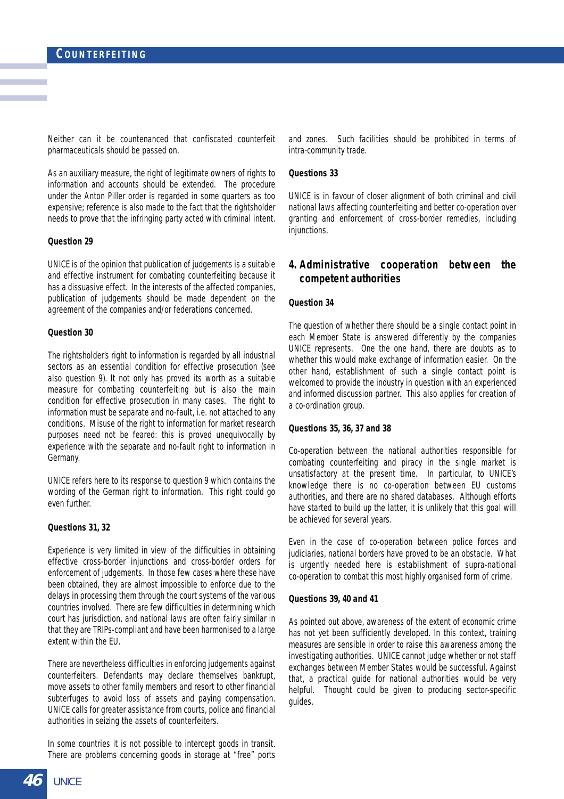Neither can it be countenanced that confiscated counterfeit pharmaceuticals should be passed on.

As an auxiliary measure, the right of legitimate owners of rights to information and accounts should be extended. The procedure under the Anton Piller order is regarded in some quarters as too expensive; reference is also made to the fact that the rightsholder needs to prove that the infringing party acted with criminal intent.

#### **Question 29**

UNICE is of the opinion that publication of judgements is a suitable and effective instrument for combating counterfeiting because it has a dissuasive effect. In the interests of the affected companies, publication of judgements should be made dependent on the agreement of the companies and/or federations concerned.

#### **Question 30**

The rightsholder's right to information is regarded by all industrial sectors as an essential condition for effective prosecution (see also question 9). It not only has proved its worth as a suitable measure for combating counterfeiting but is also the main condition for effective prosecution in many cases. The right to information must be separate and no-fault, i.e. not attached to any conditions. Misuse of the right to information for market research purposes need not be feared: this is proved unequivocally by experience with the separate and no-fault right to information in Germany.

UNICE refers here to its response to question 9 which contains the wording of the German right to information. This right could go even further.

#### **Questions 31, 32**

Experience is very limited in view of the difficulties in obtaining effective cross-border injunctions and cross-border orders for enforcement of judgements. In those few cases where these have been obtained, they are almost impossible to enforce due to the delays in processing them through the court systems of the various countries involved. There are few difficulties in determining which court has jurisdiction, and national laws are often fairly similar in that they are TRIPs-compliant and have been harmonised to a large extent within the EU.

There are nevertheless difficulties in enforcing judgements against counterfeiters. Defendants may declare themselves bankrupt, move assets to other family members and resort to other financial subterfuges to avoid loss of assets and paying compensation. UNICE calls for greater assistance from courts, police and financial authorities in seizing the assets of counterfeiters.

In some countries it is not possible to intercept goods in transit. There are problems concerning goods in storage at "free" ports and zones. Such facilities should be prohibited in terms of intra-community trade.

#### **Questions 33**

UNICE is in favour of closer alignment of both criminal and civil national laws affecting counterfeiting and better co-operation over granting and enforcement of cross-border remedies, including injunctions.

#### **4. Administrative cooperation between the competent authorities**

#### **Question 34**

The question of whether there should be a single contact point in each Member State is answered differently by the companies UNICE represents. One the one hand, there are doubts as to whether this would make exchange of information easier. On the other hand, establishment of such a single contact point is welcomed to provide the industry in question with an experienced and informed discussion partner. This also applies for creation of a co-ordination group.

#### **Questions 35, 36, 37 and 38**

Co-operation between the national authorities responsible for combating counterfeiting and piracy in the single market is unsatisfactory at the present time. In particular, to UNICE's knowledge there is no co-operation between EU customs authorities, and there are no shared databases. Although efforts have started to build up the latter, it is unlikely that this goal will be achieved for several years.

Even in the case of co-operation between police forces and judiciaries, national borders have proved to be an obstacle. What is urgently needed here is establishment of supra-national co-operation to combat this most highly organised form of crime.

#### **Questions 39, 40 and 41**

As pointed out above, awareness of the extent of economic crime has not yet been sufficiently developed. In this context, training measures are sensible in order to raise this awareness among the investigating authorities. UNICE cannot judge whether or not staff exchanges between Member States would be successful. Against that, a practical guide for national authorities would be very helpful. Thought could be given to producing sector-specific guides.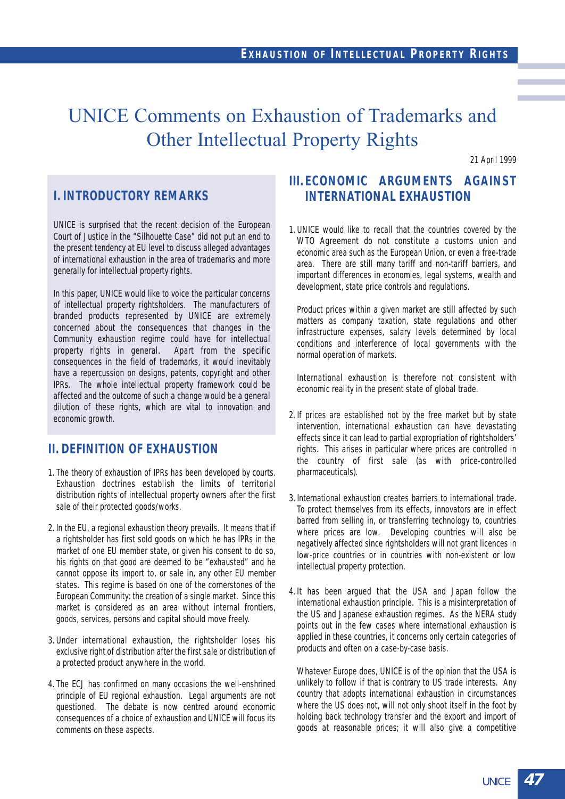## UNICE Comments on Exhaustion of Trademarks and Other Intellectual Property Rights

21 April 1999

## **I. INTRODUCTORY REMARKS**

UNICE is surprised that the recent decision of the European Court of Justice in the "Silhouette Case" did not put an end to the present tendency at EU level to discuss alleged advantages of international exhaustion in the area of trademarks and more generally for intellectual property rights.

In this paper, UNICE would like to voice the particular concerns of intellectual property rightsholders. The manufacturers of branded products represented by UNICE are extremely concerned about the consequences that changes in the Community exhaustion regime could have for intellectual<br>property rights in general. Apart from the specific property rights in general. consequences in the field of trademarks, it would inevitably have a repercussion on designs, patents, copyright and other IPRs. The whole intellectual property framework could be affected and the outcome of such a change would be a general dilution of these rights, which are vital to innovation and economic growth.

## **II. DEFINITION OF EXHAUSTION**

- 1. The theory of exhaustion of IPRs has been developed by courts. Exhaustion doctrines establish the limits of territorial distribution rights of intellectual property owners after the first sale of their protected goods/works.
- 2. In the EU, a regional exhaustion theory prevails. It means that if a rightsholder has first sold goods on which he has IPRs in the market of one EU member state, or given his consent to do so, his rights on that good are deemed to be "exhausted" and he cannot oppose its import to, or sale in, any other EU member states. This regime is based on one of the cornerstones of the European Community: the creation of a single market. Since this market is considered as an area without internal frontiers, goods, services, persons and capital should move freely.
- 3. Under international exhaustion, the rightsholder loses his exclusive right of distribution after the first sale or distribution of a protected product anywhere in the world.
- 4. The ECJ has confirmed on many occasions the well-enshrined principle of EU regional exhaustion. Legal arguments are not questioned. The debate is now centred around economic consequences of a choice of exhaustion and UNICE will focus its comments on these aspects.

## **III. ECONOMIC ARGUMENTS AGAINST INTERNATIONAL EXHAUSTION**

1. UNICE would like to recall that the countries covered by the WTO Agreement do not constitute a customs union and economic area such as the European Union, or even a free-trade area. There are still many tariff and non-tariff barriers, and important differences in economies, legal systems, wealth and development, state price controls and regulations.

Product prices within a given market are still affected by such matters as company taxation, state regulations and other infrastructure expenses, salary levels determined by local conditions and interference of local governments with the normal operation of markets.

International exhaustion is therefore not consistent with economic reality in the present state of global trade.

- 2. If prices are established not by the free market but by state intervention, international exhaustion can have devastating effects since it can lead to partial expropriation of rightsholders' rights. This arises in particular where prices are controlled in the country of first sale (as with price-controlled pharmaceuticals).
- 3. International exhaustion creates barriers to international trade. To protect themselves from its effects, innovators are in effect barred from selling in, or transferring technology to, countries where prices are low. Developing countries will also be negatively affected since rightsholders will not grant licences in low-price countries or in countries with non-existent or low intellectual property protection.
- 4. It has been argued that the USA and Japan follow the international exhaustion principle. This is a misinterpretation of the US and Japanese exhaustion regimes. As the NERA study points out in the few cases where international exhaustion is applied in these countries, it concerns only certain categories of products and often on a case-by-case basis.

Whatever Europe does, UNICE is of the opinion that the USA is unlikely to follow if that is contrary to US trade interests. Any country that adopts international exhaustion in circumstances where the US does not, will not only shoot itself in the foot by holding back technology transfer and the export and import of goods at reasonable prices; it will also give a competitive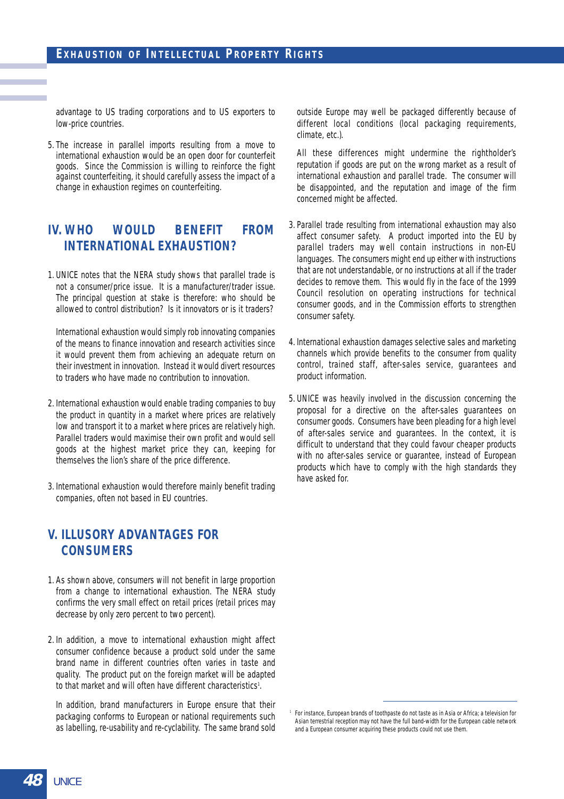advantage to US trading corporations and to US exporters to low-price countries.

5. The increase in parallel imports resulting from a move to international exhaustion would be an open door for counterfeit goods. Since the Commission is willing to reinforce the fight against counterfeiting, it should carefully assess the impact of a change in exhaustion regimes on counterfeiting.

## **IV. WHO WOULD BENEFIT FROM INTERNATIONAL EXHAUSTION?**

1. UNICE notes that the NERA study shows that parallel trade is not a consumer/price issue. It is a manufacturer/trader issue. The principal question at stake is therefore: who should be allowed to control distribution? Is it innovators or is it traders?

International exhaustion would simply rob innovating companies of the means to finance innovation and research activities since it would prevent them from achieving an adequate return on their investment in innovation. Instead it would divert resources to traders who have made no contribution to innovation.

- 2. International exhaustion would enable trading companies to buy the product in quantity in a market where prices are relatively low and transport it to a market where prices are relatively high. Parallel traders would maximise their own profit and would sell goods at the highest market price they can, keeping for themselves the lion's share of the price difference.
- 3. International exhaustion would therefore mainly benefit trading companies, often not based in EU countries.

## **V. ILLUSORY ADVANTAGES FOR CONSUMERS**

- 1. As shown above, consumers will not benefit in large proportion from a change to international exhaustion. The NERA study confirms the very small effect on retail prices (retail prices may decrease by only zero percent to two percent).
- 2. In addition, a move to international exhaustion might affect consumer confidence because a product sold under the same brand name in different countries often varies in taste and quality. The product put on the foreign market will be adapted to that market and will often have different characteristics<sup>1</sup>.

In addition, brand manufacturers in Europe ensure that their packaging conforms to European or national requirements such as labelling, re-usability and re-cyclability. The same brand sold outside Europe may well be packaged differently because of different local conditions (local packaging requirements, climate, etc.).

All these differences might undermine the rightholder's reputation if goods are put on the wrong market as a result of international exhaustion and parallel trade. The consumer will be disappointed, and the reputation and image of the firm concerned might be affected.

- 3. Parallel trade resulting from international exhaustion may also affect consumer safety. A product imported into the EU by parallel traders may well contain instructions in non-EU languages. The consumers might end up either with instructions that are not understandable, or no instructions at all if the trader decides to remove them. This would fly in the face of the 1999 Council resolution on operating instructions for technical consumer goods, and in the Commission efforts to strengthen consumer safety.
- 4. International exhaustion damages selective sales and marketing channels which provide benefits to the consumer from quality control, trained staff, after-sales service, guarantees and product information.
- 5. UNICE was heavily involved in the discussion concerning the proposal for a directive on the after-sales guarantees on consumer goods. Consumers have been pleading for a high level of after-sales service and guarantees. In the context, it is difficult to understand that they could favour cheaper products with no after-sales service or guarantee, instead of European products which have to comply with the high standards they have asked for.

<sup>&</sup>lt;sup>1</sup> For instance, European brands of toothpaste do not taste as in Asia or Africa; a television for Asian terrestrial reception may not have the full band-width for the European cable network and a European consumer acquiring these products could not use them.